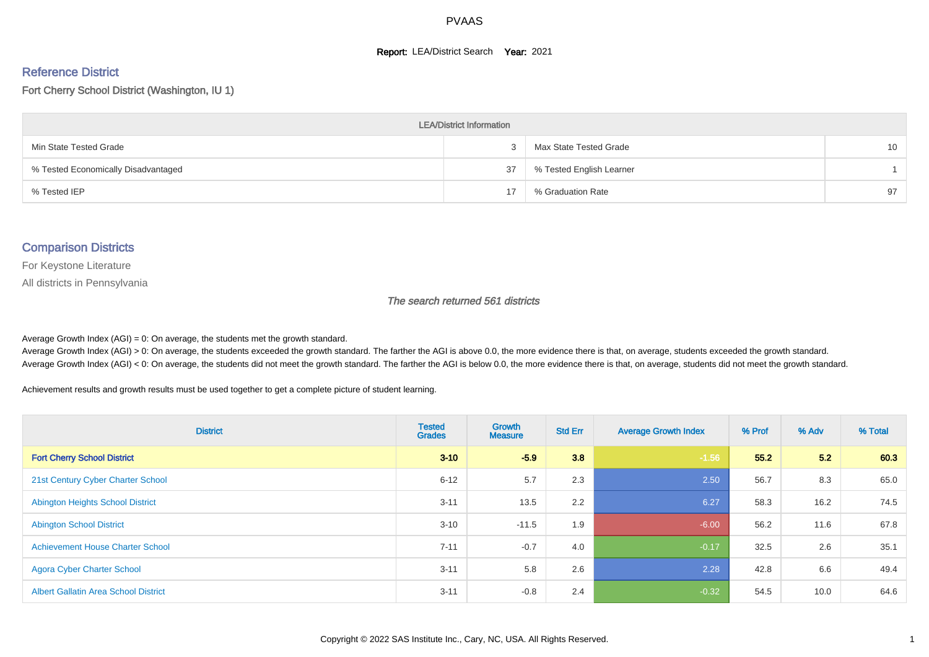#### **Report: LEA/District Search Year: 2021**

# Reference District

Fort Cherry School District (Washington, IU 1)

| <b>LEA/District Information</b>     |    |                          |    |  |  |  |  |  |  |  |
|-------------------------------------|----|--------------------------|----|--|--|--|--|--|--|--|
| Min State Tested Grade              |    | Max State Tested Grade   | 10 |  |  |  |  |  |  |  |
| % Tested Economically Disadvantaged | 37 | % Tested English Learner |    |  |  |  |  |  |  |  |
| % Tested IEP                        | 17 | % Graduation Rate        | 97 |  |  |  |  |  |  |  |

#### Comparison Districts

For Keystone Literature

All districts in Pennsylvania

The search returned 561 districts

Average Growth Index  $(AGI) = 0$ : On average, the students met the growth standard.

Average Growth Index (AGI) > 0: On average, the students exceeded the growth standard. The farther the AGI is above 0.0, the more evidence there is that, on average, students exceeded the growth standard. Average Growth Index (AGI) < 0: On average, the students did not meet the growth standard. The farther the AGI is below 0.0, the more evidence there is that, on average, students did not meet the growth standard.

Achievement results and growth results must be used together to get a complete picture of student learning.

| <b>District</b>                             | <b>Tested</b><br><b>Grades</b> | Growth<br><b>Measure</b> | <b>Std Err</b> | <b>Average Growth Index</b> | % Prof | % Adv | % Total |
|---------------------------------------------|--------------------------------|--------------------------|----------------|-----------------------------|--------|-------|---------|
| <b>Fort Cherry School District</b>          | $3 - 10$                       | $-5.9$                   | 3.8            | $-1.56$                     | 55.2   | 5.2   | 60.3    |
| 21st Century Cyber Charter School           | $6 - 12$                       | 5.7                      | 2.3            | 2.50                        | 56.7   | 8.3   | 65.0    |
| <b>Abington Heights School District</b>     | $3 - 11$                       | 13.5                     | 2.2            | 6.27                        | 58.3   | 16.2  | 74.5    |
| <b>Abington School District</b>             | $3 - 10$                       | $-11.5$                  | 1.9            | $-6.00$                     | 56.2   | 11.6  | 67.8    |
| <b>Achievement House Charter School</b>     | $7 - 11$                       | $-0.7$                   | 4.0            | $-0.17$                     | 32.5   | 2.6   | 35.1    |
| <b>Agora Cyber Charter School</b>           | $3 - 11$                       | 5.8                      | 2.6            | 2.28                        | 42.8   | 6.6   | 49.4    |
| <b>Albert Gallatin Area School District</b> | $3 - 11$                       | $-0.8$                   | 2.4            | $-0.32$                     | 54.5   | 10.0  | 64.6    |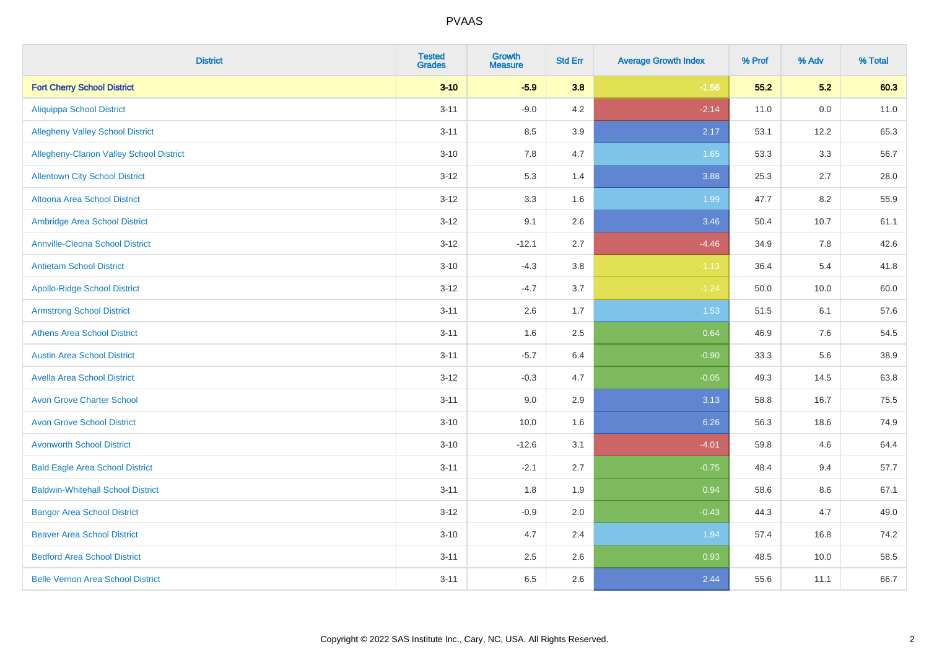| <b>District</b>                          | <b>Tested</b><br><b>Grades</b> | <b>Growth</b><br><b>Measure</b> | <b>Std Err</b> | <b>Average Growth Index</b> | % Prof | % Adv | % Total |
|------------------------------------------|--------------------------------|---------------------------------|----------------|-----------------------------|--------|-------|---------|
| <b>Fort Cherry School District</b>       | $3 - 10$                       | $-5.9$                          | 3.8            | $-1.56$                     | 55.2   | 5.2   | 60.3    |
| <b>Aliquippa School District</b>         | $3 - 11$                       | $-9.0$                          | 4.2            | $-2.14$                     | 11.0   | 0.0   | 11.0    |
| <b>Allegheny Valley School District</b>  | $3 - 11$                       | 8.5                             | 3.9            | 2.17                        | 53.1   | 12.2  | 65.3    |
| Allegheny-Clarion Valley School District | $3 - 10$                       | 7.8                             | 4.7            | 1.65                        | 53.3   | 3.3   | 56.7    |
| <b>Allentown City School District</b>    | $3 - 12$                       | 5.3                             | 1.4            | 3.88                        | 25.3   | 2.7   | 28.0    |
| <b>Altoona Area School District</b>      | $3 - 12$                       | 3.3                             | 1.6            | 1.99                        | 47.7   | 8.2   | 55.9    |
| Ambridge Area School District            | $3 - 12$                       | 9.1                             | 2.6            | 3.46                        | 50.4   | 10.7  | 61.1    |
| <b>Annville-Cleona School District</b>   | $3 - 12$                       | $-12.1$                         | 2.7            | $-4.46$                     | 34.9   | 7.8   | 42.6    |
| <b>Antietam School District</b>          | $3 - 10$                       | $-4.3$                          | 3.8            | $-1.13$                     | 36.4   | 5.4   | 41.8    |
| <b>Apollo-Ridge School District</b>      | $3 - 12$                       | $-4.7$                          | 3.7            | $-1.24$                     | 50.0   | 10.0  | 60.0    |
| <b>Armstrong School District</b>         | $3 - 11$                       | 2.6                             | 1.7            | 1.53                        | 51.5   | 6.1   | 57.6    |
| <b>Athens Area School District</b>       | $3 - 11$                       | 1.6                             | 2.5            | 0.64                        | 46.9   | 7.6   | 54.5    |
| <b>Austin Area School District</b>       | $3 - 11$                       | $-5.7$                          | 6.4            | $-0.90$                     | 33.3   | 5.6   | 38.9    |
| <b>Avella Area School District</b>       | $3 - 12$                       | $-0.3$                          | 4.7            | $-0.05$                     | 49.3   | 14.5  | 63.8    |
| <b>Avon Grove Charter School</b>         | $3 - 11$                       | 9.0                             | 2.9            | 3.13                        | 58.8   | 16.7  | 75.5    |
| <b>Avon Grove School District</b>        | $3 - 10$                       | 10.0                            | 1.6            | 6.26                        | 56.3   | 18.6  | 74.9    |
| <b>Avonworth School District</b>         | $3 - 10$                       | $-12.6$                         | 3.1            | $-4.01$                     | 59.8   | 4.6   | 64.4    |
| <b>Bald Eagle Area School District</b>   | $3 - 11$                       | $-2.1$                          | 2.7            | $-0.75$                     | 48.4   | 9.4   | 57.7    |
| <b>Baldwin-Whitehall School District</b> | $3 - 11$                       | 1.8                             | 1.9            | 0.94                        | 58.6   | 8.6   | 67.1    |
| <b>Bangor Area School District</b>       | $3 - 12$                       | $-0.9$                          | 2.0            | $-0.43$                     | 44.3   | 4.7   | 49.0    |
| <b>Beaver Area School District</b>       | $3 - 10$                       | 4.7                             | 2.4            | 1.94                        | 57.4   | 16.8  | 74.2    |
| <b>Bedford Area School District</b>      | $3 - 11$                       | 2.5                             | 2.6            | 0.93                        | 48.5   | 10.0  | 58.5    |
| <b>Belle Vernon Area School District</b> | $3 - 11$                       | 6.5                             | 2.6            | 2.44                        | 55.6   | 11.1  | 66.7    |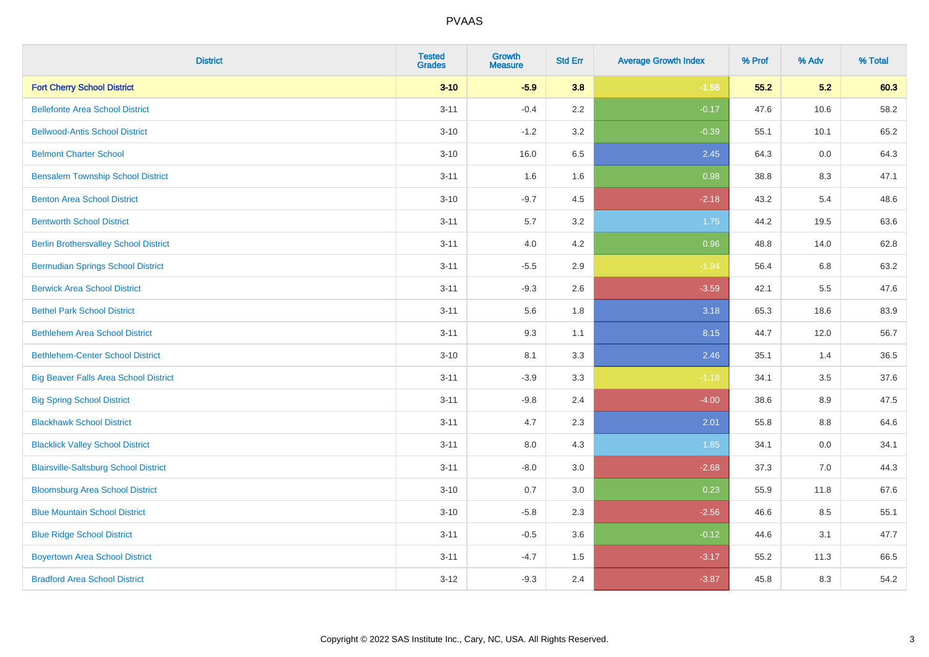| <b>District</b>                              | <b>Tested</b><br><b>Grades</b> | <b>Growth</b><br><b>Measure</b> | <b>Std Err</b> | <b>Average Growth Index</b> | % Prof | % Adv | % Total |
|----------------------------------------------|--------------------------------|---------------------------------|----------------|-----------------------------|--------|-------|---------|
| <b>Fort Cherry School District</b>           | $3 - 10$                       | $-5.9$                          | 3.8            | $-1.56$                     | 55.2   | 5.2   | 60.3    |
| <b>Bellefonte Area School District</b>       | $3 - 11$                       | $-0.4$                          | 2.2            | $-0.17$                     | 47.6   | 10.6  | 58.2    |
| <b>Bellwood-Antis School District</b>        | $3 - 10$                       | $-1.2$                          | 3.2            | $-0.39$                     | 55.1   | 10.1  | 65.2    |
| <b>Belmont Charter School</b>                | $3 - 10$                       | 16.0                            | 6.5            | 2.45                        | 64.3   | 0.0   | 64.3    |
| <b>Bensalem Township School District</b>     | $3 - 11$                       | 1.6                             | 1.6            | 0.98                        | 38.8   | 8.3   | 47.1    |
| <b>Benton Area School District</b>           | $3 - 10$                       | $-9.7$                          | 4.5            | $-2.18$                     | 43.2   | 5.4   | 48.6    |
| <b>Bentworth School District</b>             | $3 - 11$                       | $5.7\,$                         | 3.2            | 1.75                        | 44.2   | 19.5  | 63.6    |
| <b>Berlin Brothersvalley School District</b> | $3 - 11$                       | 4.0                             | 4.2            | 0.96                        | 48.8   | 14.0  | 62.8    |
| <b>Bermudian Springs School District</b>     | $3 - 11$                       | $-5.5$                          | 2.9            | $-1.94$                     | 56.4   | 6.8   | 63.2    |
| <b>Berwick Area School District</b>          | $3 - 11$                       | $-9.3$                          | 2.6            | $-3.59$                     | 42.1   | 5.5   | 47.6    |
| <b>Bethel Park School District</b>           | $3 - 11$                       | 5.6                             | 1.8            | 3.18                        | 65.3   | 18.6  | 83.9    |
| <b>Bethlehem Area School District</b>        | $3 - 11$                       | 9.3                             | 1.1            | 8.15                        | 44.7   | 12.0  | 56.7    |
| <b>Bethlehem-Center School District</b>      | $3 - 10$                       | 8.1                             | 3.3            | 2.46                        | 35.1   | 1.4   | 36.5    |
| <b>Big Beaver Falls Area School District</b> | $3 - 11$                       | $-3.9$                          | 3.3            | $-1.18$                     | 34.1   | 3.5   | 37.6    |
| <b>Big Spring School District</b>            | $3 - 11$                       | $-9.8$                          | 2.4            | $-4.00$                     | 38.6   | 8.9   | 47.5    |
| <b>Blackhawk School District</b>             | $3 - 11$                       | 4.7                             | 2.3            | 2.01                        | 55.8   | 8.8   | 64.6    |
| <b>Blacklick Valley School District</b>      | $3 - 11$                       | 8.0                             | 4.3            | 1.85                        | 34.1   | 0.0   | 34.1    |
| <b>Blairsville-Saltsburg School District</b> | $3 - 11$                       | $-8.0$                          | 3.0            | $-2.68$                     | 37.3   | 7.0   | 44.3    |
| <b>Bloomsburg Area School District</b>       | $3 - 10$                       | 0.7                             | 3.0            | 0.23                        | 55.9   | 11.8  | 67.6    |
| <b>Blue Mountain School District</b>         | $3 - 10$                       | $-5.8$                          | 2.3            | $-2.56$                     | 46.6   | 8.5   | 55.1    |
| <b>Blue Ridge School District</b>            | $3 - 11$                       | $-0.5$                          | 3.6            | $-0.12$                     | 44.6   | 3.1   | 47.7    |
| <b>Boyertown Area School District</b>        | $3 - 11$                       | $-4.7$                          | 1.5            | $-3.17$                     | 55.2   | 11.3  | 66.5    |
| <b>Bradford Area School District</b>         | $3 - 12$                       | $-9.3$                          | 2.4            | $-3.87$                     | 45.8   | 8.3   | 54.2    |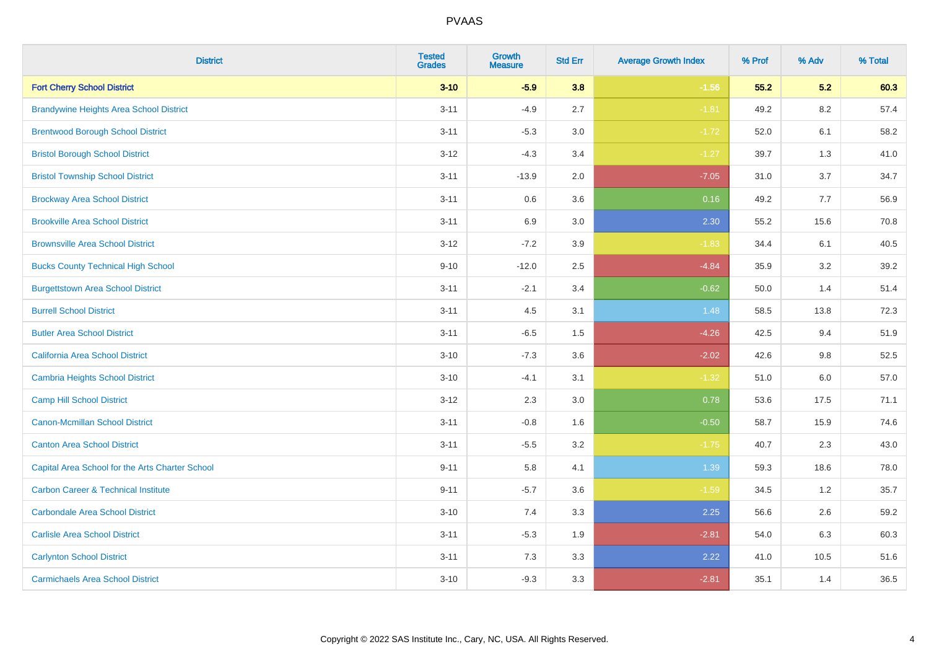| <b>District</b>                                 | <b>Tested</b><br><b>Grades</b> | Growth<br><b>Measure</b> | <b>Std Err</b> | <b>Average Growth Index</b> | % Prof | % Adv   | % Total |
|-------------------------------------------------|--------------------------------|--------------------------|----------------|-----------------------------|--------|---------|---------|
| <b>Fort Cherry School District</b>              | $3 - 10$                       | $-5.9$                   | 3.8            | $-1.56$                     | 55.2   | 5.2     | 60.3    |
| <b>Brandywine Heights Area School District</b>  | $3 - 11$                       | $-4.9$                   | 2.7            | $-1.81$                     | 49.2   | 8.2     | 57.4    |
| <b>Brentwood Borough School District</b>        | $3 - 11$                       | $-5.3$                   | 3.0            | $-1.72$                     | 52.0   | 6.1     | 58.2    |
| <b>Bristol Borough School District</b>          | $3 - 12$                       | $-4.3$                   | 3.4            | $-1.27$                     | 39.7   | 1.3     | 41.0    |
| <b>Bristol Township School District</b>         | $3 - 11$                       | $-13.9$                  | 2.0            | $-7.05$                     | 31.0   | 3.7     | 34.7    |
| <b>Brockway Area School District</b>            | $3 - 11$                       | 0.6                      | 3.6            | 0.16                        | 49.2   | 7.7     | 56.9    |
| <b>Brookville Area School District</b>          | $3 - 11$                       | 6.9                      | 3.0            | 2.30                        | 55.2   | 15.6    | 70.8    |
| <b>Brownsville Area School District</b>         | $3 - 12$                       | $-7.2$                   | 3.9            | $-1.83$                     | 34.4   | 6.1     | 40.5    |
| <b>Bucks County Technical High School</b>       | $9 - 10$                       | $-12.0$                  | 2.5            | $-4.84$                     | 35.9   | 3.2     | 39.2    |
| <b>Burgettstown Area School District</b>        | $3 - 11$                       | $-2.1$                   | 3.4            | $-0.62$                     | 50.0   | 1.4     | 51.4    |
| <b>Burrell School District</b>                  | $3 - 11$                       | 4.5                      | 3.1            | 1.48                        | 58.5   | 13.8    | 72.3    |
| <b>Butler Area School District</b>              | $3 - 11$                       | $-6.5$                   | 1.5            | $-4.26$                     | 42.5   | 9.4     | 51.9    |
| California Area School District                 | $3 - 10$                       | $-7.3$                   | 3.6            | $-2.02$                     | 42.6   | 9.8     | 52.5    |
| Cambria Heights School District                 | $3 - 10$                       | $-4.1$                   | 3.1            | $-1.32$                     | 51.0   | $6.0\,$ | 57.0    |
| <b>Camp Hill School District</b>                | $3 - 12$                       | 2.3                      | 3.0            | 0.78                        | 53.6   | 17.5    | 71.1    |
| Canon-Mcmillan School District                  | $3 - 11$                       | $-0.8$                   | 1.6            | $-0.50$                     | 58.7   | 15.9    | 74.6    |
| <b>Canton Area School District</b>              | $3 - 11$                       | $-5.5$                   | 3.2            | $-1.75$                     | 40.7   | 2.3     | 43.0    |
| Capital Area School for the Arts Charter School | $9 - 11$                       | 5.8                      | 4.1            | 1.39                        | 59.3   | 18.6    | 78.0    |
| <b>Carbon Career &amp; Technical Institute</b>  | $9 - 11$                       | $-5.7$                   | 3.6            | $-1.59$                     | 34.5   | 1.2     | 35.7    |
| <b>Carbondale Area School District</b>          | $3 - 10$                       | 7.4                      | 3.3            | 2.25                        | 56.6   | 2.6     | 59.2    |
| <b>Carlisle Area School District</b>            | $3 - 11$                       | $-5.3$                   | 1.9            | $-2.81$                     | 54.0   | 6.3     | 60.3    |
| <b>Carlynton School District</b>                | $3 - 11$                       | 7.3                      | 3.3            | 2.22                        | 41.0   | 10.5    | 51.6    |
| <b>Carmichaels Area School District</b>         | $3 - 10$                       | $-9.3$                   | 3.3            | $-2.81$                     | 35.1   | 1.4     | 36.5    |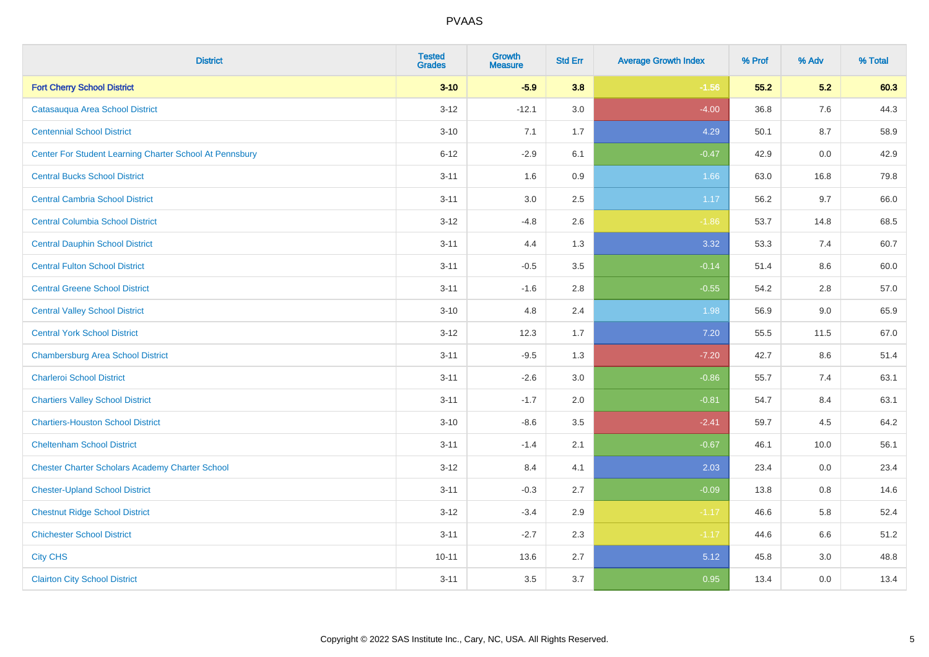| <b>District</b>                                         | <b>Tested</b><br><b>Grades</b> | <b>Growth</b><br><b>Measure</b> | <b>Std Err</b> | <b>Average Growth Index</b> | % Prof | % Adv | % Total |
|---------------------------------------------------------|--------------------------------|---------------------------------|----------------|-----------------------------|--------|-------|---------|
| <b>Fort Cherry School District</b>                      | $3 - 10$                       | $-5.9$                          | 3.8            | $-1.56$                     | 55.2   | 5.2   | 60.3    |
| Catasaugua Area School District                         | $3 - 12$                       | $-12.1$                         | 3.0            | $-4.00$                     | 36.8   | 7.6   | 44.3    |
| <b>Centennial School District</b>                       | $3 - 10$                       | 7.1                             | 1.7            | 4.29                        | 50.1   | 8.7   | 58.9    |
| Center For Student Learning Charter School At Pennsbury | $6 - 12$                       | $-2.9$                          | 6.1            | $-0.47$                     | 42.9   | 0.0   | 42.9    |
| <b>Central Bucks School District</b>                    | $3 - 11$                       | 1.6                             | 0.9            | 1.66                        | 63.0   | 16.8  | 79.8    |
| <b>Central Cambria School District</b>                  | $3 - 11$                       | 3.0                             | 2.5            | 1.17                        | 56.2   | 9.7   | 66.0    |
| <b>Central Columbia School District</b>                 | $3-12$                         | $-4.8$                          | 2.6            | $-1.86$                     | 53.7   | 14.8  | 68.5    |
| <b>Central Dauphin School District</b>                  | $3 - 11$                       | 4.4                             | 1.3            | 3.32                        | 53.3   | 7.4   | 60.7    |
| <b>Central Fulton School District</b>                   | $3 - 11$                       | $-0.5$                          | 3.5            | $-0.14$                     | 51.4   | 8.6   | 60.0    |
| <b>Central Greene School District</b>                   | $3 - 11$                       | $-1.6$                          | 2.8            | $-0.55$                     | 54.2   | 2.8   | 57.0    |
| <b>Central Valley School District</b>                   | $3 - 10$                       | 4.8                             | 2.4            | 1.98                        | 56.9   | 9.0   | 65.9    |
| <b>Central York School District</b>                     | $3 - 12$                       | 12.3                            | 1.7            | 7.20                        | 55.5   | 11.5  | 67.0    |
| <b>Chambersburg Area School District</b>                | $3 - 11$                       | $-9.5$                          | 1.3            | $-7.20$                     | 42.7   | 8.6   | 51.4    |
| <b>Charleroi School District</b>                        | $3 - 11$                       | $-2.6$                          | 3.0            | $-0.86$                     | 55.7   | 7.4   | 63.1    |
| <b>Chartiers Valley School District</b>                 | $3 - 11$                       | $-1.7$                          | 2.0            | $-0.81$                     | 54.7   | 8.4   | 63.1    |
| <b>Chartiers-Houston School District</b>                | $3 - 10$                       | $-8.6$                          | 3.5            | $-2.41$                     | 59.7   | 4.5   | 64.2    |
| <b>Cheltenham School District</b>                       | $3 - 11$                       | $-1.4$                          | 2.1            | $-0.67$                     | 46.1   | 10.0  | 56.1    |
| <b>Chester Charter Scholars Academy Charter School</b>  | $3 - 12$                       | 8.4                             | 4.1            | 2.03                        | 23.4   | 0.0   | 23.4    |
| <b>Chester-Upland School District</b>                   | $3 - 11$                       | $-0.3$                          | 2.7            | $-0.09$                     | 13.8   | 0.8   | 14.6    |
| <b>Chestnut Ridge School District</b>                   | $3-12$                         | $-3.4$                          | 2.9            | $-1.17$                     | 46.6   | 5.8   | 52.4    |
| <b>Chichester School District</b>                       | $3 - 11$                       | $-2.7$                          | 2.3            | $-1.17$                     | 44.6   | 6.6   | 51.2    |
| <b>City CHS</b>                                         | $10 - 11$                      | 13.6                            | 2.7            | 5.12                        | 45.8   | 3.0   | 48.8    |
| <b>Clairton City School District</b>                    | $3 - 11$                       | 3.5                             | 3.7            | 0.95                        | 13.4   | 0.0   | 13.4    |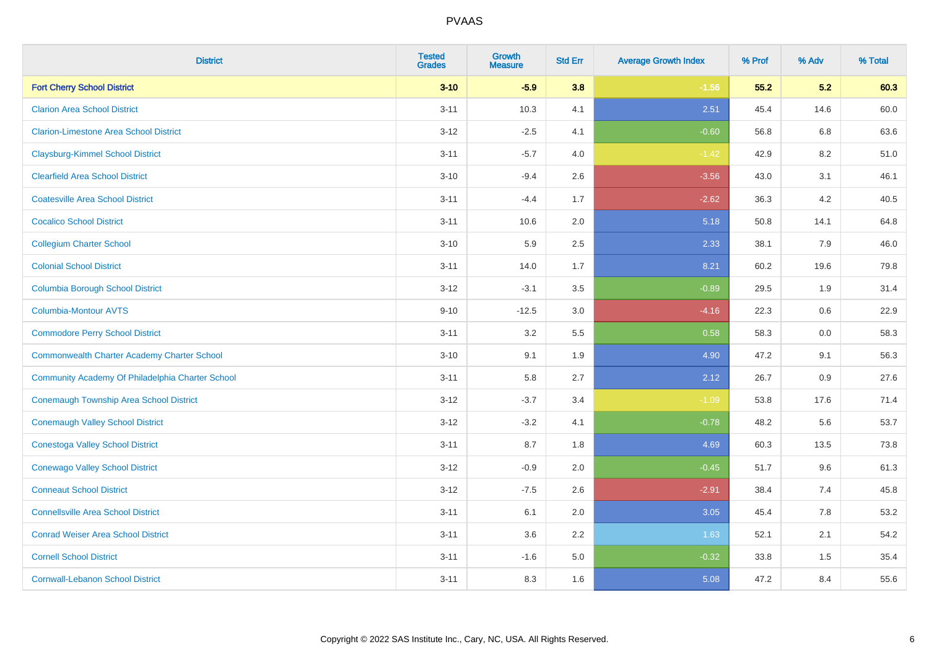| <b>District</b>                                    | <b>Tested</b><br><b>Grades</b> | <b>Growth</b><br><b>Measure</b> | <b>Std Err</b> | <b>Average Growth Index</b> | % Prof | % Adv | % Total |
|----------------------------------------------------|--------------------------------|---------------------------------|----------------|-----------------------------|--------|-------|---------|
| <b>Fort Cherry School District</b>                 | $3 - 10$                       | $-5.9$                          | 3.8            | $-1.56$                     | 55.2   | 5.2   | 60.3    |
| <b>Clarion Area School District</b>                | $3 - 11$                       | 10.3                            | 4.1            | 2.51                        | 45.4   | 14.6  | 60.0    |
| <b>Clarion-Limestone Area School District</b>      | $3-12$                         | $-2.5$                          | 4.1            | $-0.60$                     | 56.8   | 6.8   | 63.6    |
| <b>Claysburg-Kimmel School District</b>            | $3 - 11$                       | $-5.7$                          | 4.0            | $-1.42$                     | 42.9   | 8.2   | 51.0    |
| <b>Clearfield Area School District</b>             | $3 - 10$                       | $-9.4$                          | 2.6            | $-3.56$                     | 43.0   | 3.1   | 46.1    |
| <b>Coatesville Area School District</b>            | $3 - 11$                       | $-4.4$                          | 1.7            | $-2.62$                     | 36.3   | 4.2   | 40.5    |
| <b>Cocalico School District</b>                    | $3 - 11$                       | 10.6                            | 2.0            | 5.18                        | 50.8   | 14.1  | 64.8    |
| <b>Collegium Charter School</b>                    | $3 - 10$                       | 5.9                             | 2.5            | 2.33                        | 38.1   | 7.9   | 46.0    |
| <b>Colonial School District</b>                    | $3 - 11$                       | 14.0                            | 1.7            | 8.21                        | 60.2   | 19.6  | 79.8    |
| <b>Columbia Borough School District</b>            | $3 - 12$                       | $-3.1$                          | 3.5            | $-0.89$                     | 29.5   | 1.9   | 31.4    |
| Columbia-Montour AVTS                              | $9 - 10$                       | $-12.5$                         | 3.0            | $-4.16$                     | 22.3   | 0.6   | 22.9    |
| <b>Commodore Perry School District</b>             | $3 - 11$                       | 3.2                             | 5.5            | 0.58                        | 58.3   | 0.0   | 58.3    |
| <b>Commonwealth Charter Academy Charter School</b> | $3 - 10$                       | 9.1                             | 1.9            | 4.90                        | 47.2   | 9.1   | 56.3    |
| Community Academy Of Philadelphia Charter School   | $3 - 11$                       | 5.8                             | 2.7            | 2.12                        | 26.7   | 0.9   | 27.6    |
| <b>Conemaugh Township Area School District</b>     | $3 - 12$                       | $-3.7$                          | 3.4            | $-1.09$                     | 53.8   | 17.6  | 71.4    |
| <b>Conemaugh Valley School District</b>            | $3-12$                         | $-3.2$                          | 4.1            | $-0.78$                     | 48.2   | 5.6   | 53.7    |
| <b>Conestoga Valley School District</b>            | $3 - 11$                       | 8.7                             | 1.8            | 4.69                        | 60.3   | 13.5  | 73.8    |
| <b>Conewago Valley School District</b>             | $3 - 12$                       | $-0.9$                          | 2.0            | $-0.45$                     | 51.7   | 9.6   | 61.3    |
| <b>Conneaut School District</b>                    | $3-12$                         | $-7.5$                          | 2.6            | $-2.91$                     | 38.4   | 7.4   | 45.8    |
| <b>Connellsville Area School District</b>          | $3 - 11$                       | 6.1                             | 2.0            | 3.05                        | 45.4   | 7.8   | 53.2    |
| <b>Conrad Weiser Area School District</b>          | $3 - 11$                       | 3.6                             | 2.2            | 1.63                        | 52.1   | 2.1   | 54.2    |
| <b>Cornell School District</b>                     | $3 - 11$                       | $-1.6$                          | 5.0            | $-0.32$                     | 33.8   | 1.5   | 35.4    |
| <b>Cornwall-Lebanon School District</b>            | $3 - 11$                       | 8.3                             | 1.6            | 5.08                        | 47.2   | 8.4   | 55.6    |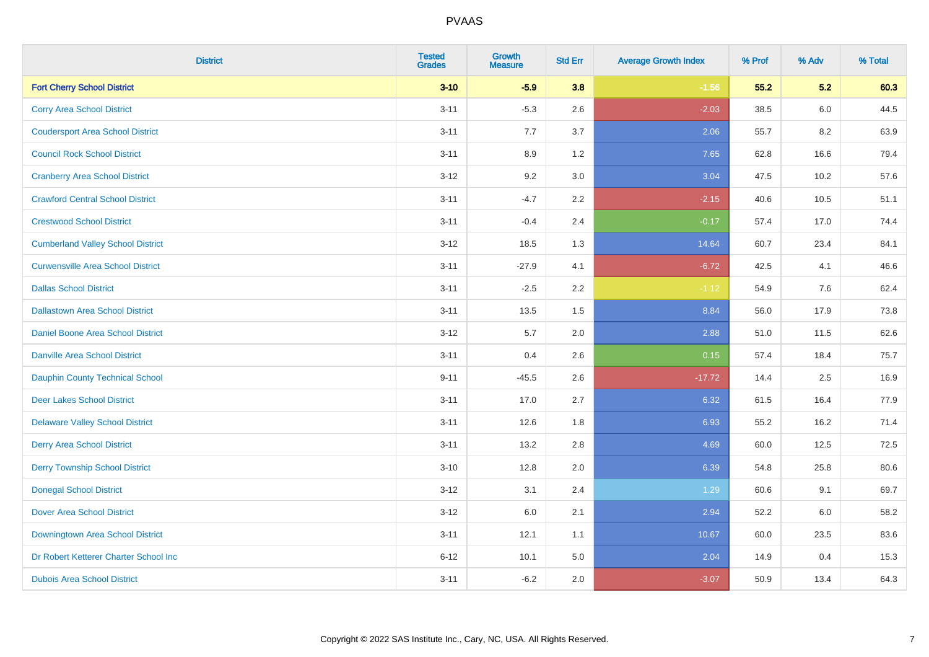| <b>District</b>                          | <b>Tested</b><br><b>Grades</b> | Growth<br><b>Measure</b> | <b>Std Err</b> | <b>Average Growth Index</b> | % Prof | % Adv   | % Total |
|------------------------------------------|--------------------------------|--------------------------|----------------|-----------------------------|--------|---------|---------|
| <b>Fort Cherry School District</b>       | $3 - 10$                       | $-5.9$                   | 3.8            | $-1.56$                     | 55.2   | 5.2     | 60.3    |
| <b>Corry Area School District</b>        | $3 - 11$                       | $-5.3$                   | 2.6            | $-2.03$                     | 38.5   | 6.0     | 44.5    |
| <b>Coudersport Area School District</b>  | $3 - 11$                       | 7.7                      | 3.7            | 2.06                        | 55.7   | 8.2     | 63.9    |
| <b>Council Rock School District</b>      | $3 - 11$                       | 8.9                      | 1.2            | 7.65                        | 62.8   | 16.6    | 79.4    |
| <b>Cranberry Area School District</b>    | $3 - 12$                       | 9.2                      | 3.0            | 3.04                        | 47.5   | 10.2    | 57.6    |
| <b>Crawford Central School District</b>  | $3 - 11$                       | $-4.7$                   | 2.2            | $-2.15$                     | 40.6   | 10.5    | 51.1    |
| <b>Crestwood School District</b>         | $3 - 11$                       | $-0.4$                   | 2.4            | $-0.17$                     | 57.4   | 17.0    | 74.4    |
| <b>Cumberland Valley School District</b> | $3 - 12$                       | 18.5                     | 1.3            | 14.64                       | 60.7   | 23.4    | 84.1    |
| <b>Curwensville Area School District</b> | $3 - 11$                       | $-27.9$                  | 4.1            | $-6.72$                     | 42.5   | 4.1     | 46.6    |
| <b>Dallas School District</b>            | $3 - 11$                       | $-2.5$                   | 2.2            | $-1.12$                     | 54.9   | $7.6\,$ | 62.4    |
| <b>Dallastown Area School District</b>   | $3 - 11$                       | 13.5                     | 1.5            | 8.84                        | 56.0   | 17.9    | 73.8    |
| Daniel Boone Area School District        | $3 - 12$                       | 5.7                      | 2.0            | 2.88                        | 51.0   | 11.5    | 62.6    |
| <b>Danville Area School District</b>     | $3 - 11$                       | 0.4                      | 2.6            | 0.15                        | 57.4   | 18.4    | 75.7    |
| <b>Dauphin County Technical School</b>   | $9 - 11$                       | $-45.5$                  | 2.6            | $-17.72$                    | 14.4   | 2.5     | 16.9    |
| <b>Deer Lakes School District</b>        | $3 - 11$                       | 17.0                     | 2.7            | 6.32                        | 61.5   | 16.4    | 77.9    |
| <b>Delaware Valley School District</b>   | $3 - 11$                       | 12.6                     | 1.8            | 6.93                        | 55.2   | 16.2    | 71.4    |
| <b>Derry Area School District</b>        | $3 - 11$                       | 13.2                     | 2.8            | 4.69                        | 60.0   | 12.5    | 72.5    |
| <b>Derry Township School District</b>    | $3 - 10$                       | 12.8                     | 2.0            | 6.39                        | 54.8   | 25.8    | 80.6    |
| <b>Donegal School District</b>           | $3 - 12$                       | 3.1                      | 2.4            | 1.29                        | 60.6   | 9.1     | 69.7    |
| <b>Dover Area School District</b>        | $3 - 12$                       | 6.0                      | 2.1            | 2.94                        | 52.2   | 6.0     | 58.2    |
| Downingtown Area School District         | $3 - 11$                       | 12.1                     | 1.1            | 10.67                       | 60.0   | 23.5    | 83.6    |
| Dr Robert Ketterer Charter School Inc    | $6 - 12$                       | 10.1                     | 5.0            | 2.04                        | 14.9   | 0.4     | 15.3    |
| <b>Dubois Area School District</b>       | $3 - 11$                       | $-6.2$                   | 2.0            | $-3.07$                     | 50.9   | 13.4    | 64.3    |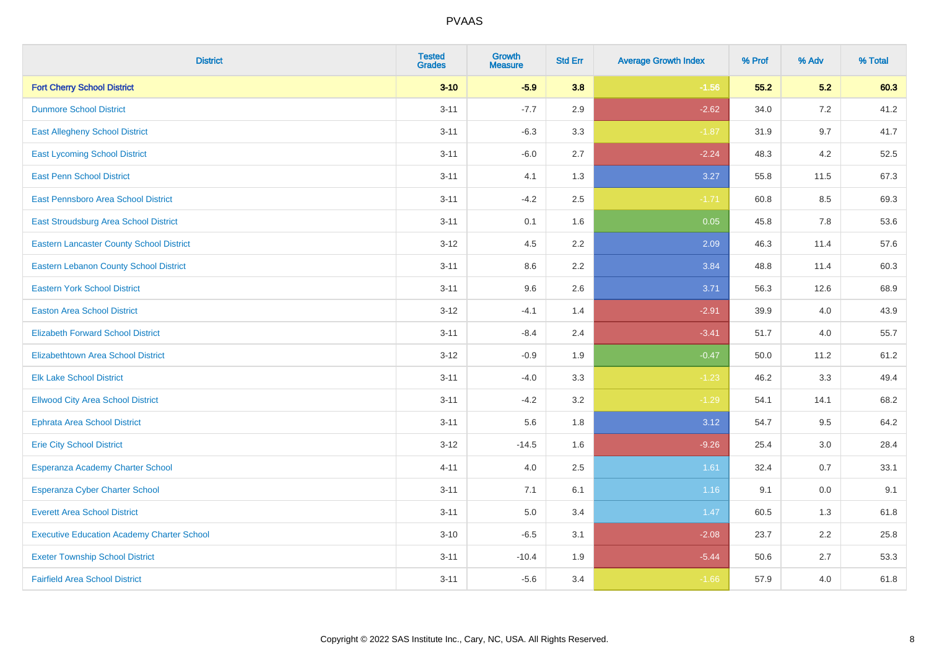| <b>District</b>                                   | <b>Tested</b><br><b>Grades</b> | Growth<br><b>Measure</b> | <b>Std Err</b> | <b>Average Growth Index</b> | % Prof | % Adv | % Total |
|---------------------------------------------------|--------------------------------|--------------------------|----------------|-----------------------------|--------|-------|---------|
| <b>Fort Cherry School District</b>                | $3 - 10$                       | $-5.9$                   | 3.8            | $-1.56$                     | 55.2   | 5.2   | 60.3    |
| <b>Dunmore School District</b>                    | $3 - 11$                       | $-7.7$                   | 2.9            | $-2.62$                     | 34.0   | 7.2   | 41.2    |
| <b>East Allegheny School District</b>             | $3 - 11$                       | $-6.3$                   | 3.3            | $-1.87$                     | 31.9   | 9.7   | 41.7    |
| <b>East Lycoming School District</b>              | $3 - 11$                       | $-6.0$                   | 2.7            | $-2.24$                     | 48.3   | 4.2   | 52.5    |
| <b>East Penn School District</b>                  | $3 - 11$                       | 4.1                      | 1.3            | 3.27                        | 55.8   | 11.5  | 67.3    |
| <b>East Pennsboro Area School District</b>        | $3 - 11$                       | $-4.2$                   | 2.5            | $-1.71$                     | 60.8   | 8.5   | 69.3    |
| East Stroudsburg Area School District             | $3 - 11$                       | 0.1                      | 1.6            | 0.05                        | 45.8   | 7.8   | 53.6    |
| <b>Eastern Lancaster County School District</b>   | $3 - 12$                       | 4.5                      | 2.2            | 2.09                        | 46.3   | 11.4  | 57.6    |
| <b>Eastern Lebanon County School District</b>     | $3 - 11$                       | 8.6                      | 2.2            | 3.84                        | 48.8   | 11.4  | 60.3    |
| <b>Eastern York School District</b>               | $3 - 11$                       | 9.6                      | 2.6            | 3.71                        | 56.3   | 12.6  | 68.9    |
| <b>Easton Area School District</b>                | $3 - 12$                       | $-4.1$                   | 1.4            | $-2.91$                     | 39.9   | 4.0   | 43.9    |
| <b>Elizabeth Forward School District</b>          | $3 - 11$                       | $-8.4$                   | 2.4            | $-3.41$                     | 51.7   | 4.0   | 55.7    |
| <b>Elizabethtown Area School District</b>         | $3 - 12$                       | $-0.9$                   | 1.9            | $-0.47$                     | 50.0   | 11.2  | 61.2    |
| <b>Elk Lake School District</b>                   | $3 - 11$                       | $-4.0$                   | 3.3            | $-1.23$                     | 46.2   | 3.3   | 49.4    |
| <b>Ellwood City Area School District</b>          | $3 - 11$                       | $-4.2$                   | 3.2            | $-1.29$                     | 54.1   | 14.1  | 68.2    |
| <b>Ephrata Area School District</b>               | $3 - 11$                       | 5.6                      | 1.8            | 3.12                        | 54.7   | 9.5   | 64.2    |
| <b>Erie City School District</b>                  | $3 - 12$                       | $-14.5$                  | 1.6            | $-9.26$                     | 25.4   | 3.0   | 28.4    |
| Esperanza Academy Charter School                  | $4 - 11$                       | 4.0                      | 2.5            | 1.61                        | 32.4   | 0.7   | 33.1    |
| <b>Esperanza Cyber Charter School</b>             | $3 - 11$                       | 7.1                      | 6.1            | 1.16                        | 9.1    | 0.0   | 9.1     |
| <b>Everett Area School District</b>               | $3 - 11$                       | $5.0\,$                  | 3.4            | 1.47                        | 60.5   | 1.3   | 61.8    |
| <b>Executive Education Academy Charter School</b> | $3 - 10$                       | $-6.5$                   | 3.1            | $-2.08$                     | 23.7   | 2.2   | 25.8    |
| <b>Exeter Township School District</b>            | $3 - 11$                       | $-10.4$                  | 1.9            | $-5.44$                     | 50.6   | 2.7   | 53.3    |
| <b>Fairfield Area School District</b>             | $3 - 11$                       | $-5.6$                   | 3.4            | $-1.66$                     | 57.9   | 4.0   | 61.8    |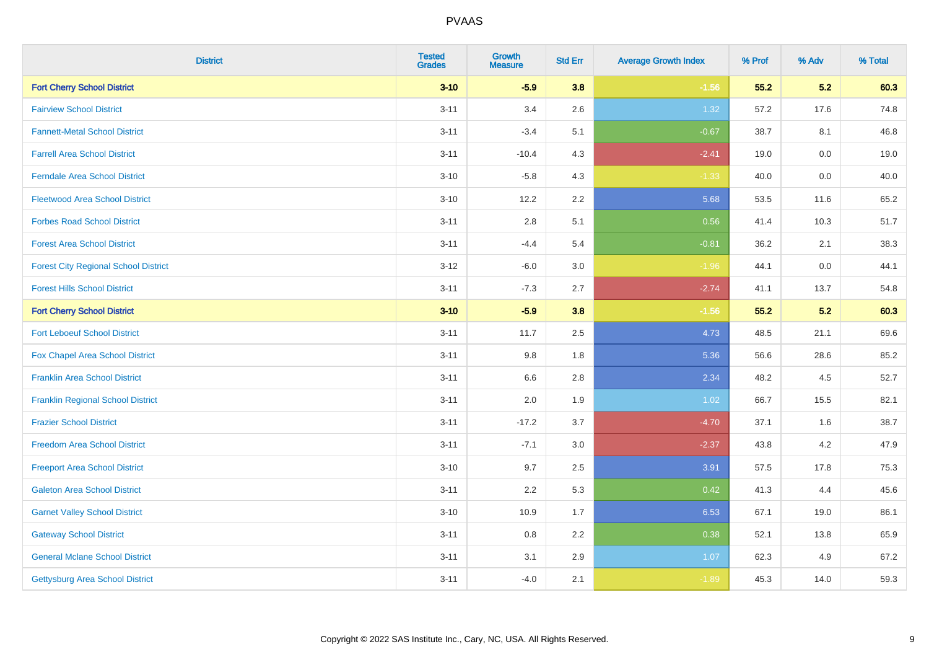| <b>District</b>                             | <b>Tested</b><br><b>Grades</b> | <b>Growth</b><br><b>Measure</b> | <b>Std Err</b> | <b>Average Growth Index</b> | % Prof | % Adv   | % Total |
|---------------------------------------------|--------------------------------|---------------------------------|----------------|-----------------------------|--------|---------|---------|
| <b>Fort Cherry School District</b>          | $3 - 10$                       | $-5.9$                          | 3.8            | $-1.56$                     | 55.2   | 5.2     | 60.3    |
| <b>Fairview School District</b>             | $3 - 11$                       | 3.4                             | 2.6            | 1.32                        | 57.2   | 17.6    | 74.8    |
| <b>Fannett-Metal School District</b>        | $3 - 11$                       | $-3.4$                          | 5.1            | $-0.67$                     | 38.7   | 8.1     | 46.8    |
| <b>Farrell Area School District</b>         | $3 - 11$                       | $-10.4$                         | 4.3            | $-2.41$                     | 19.0   | $0.0\,$ | 19.0    |
| <b>Ferndale Area School District</b>        | $3 - 10$                       | $-5.8$                          | 4.3            | $-1.33$                     | 40.0   | 0.0     | 40.0    |
| <b>Fleetwood Area School District</b>       | $3 - 10$                       | 12.2                            | 2.2            | 5.68                        | 53.5   | 11.6    | 65.2    |
| <b>Forbes Road School District</b>          | $3 - 11$                       | 2.8                             | 5.1            | 0.56                        | 41.4   | 10.3    | 51.7    |
| <b>Forest Area School District</b>          | $3 - 11$                       | $-4.4$                          | 5.4            | $-0.81$                     | 36.2   | 2.1     | 38.3    |
| <b>Forest City Regional School District</b> | $3 - 12$                       | $-6.0$                          | 3.0            | $-1.96$                     | 44.1   | $0.0\,$ | 44.1    |
| <b>Forest Hills School District</b>         | $3 - 11$                       | $-7.3$                          | 2.7            | $-2.74$                     | 41.1   | 13.7    | 54.8    |
| <b>Fort Cherry School District</b>          | $3 - 10$                       | $-5.9$                          | 3.8            | $-1.56$                     | 55.2   | 5.2     | 60.3    |
| <b>Fort Leboeuf School District</b>         | $3 - 11$                       | 11.7                            | 2.5            | 4.73                        | 48.5   | 21.1    | 69.6    |
| Fox Chapel Area School District             | $3 - 11$                       | 9.8                             | 1.8            | 5.36                        | 56.6   | 28.6    | 85.2    |
| <b>Franklin Area School District</b>        | $3 - 11$                       | 6.6                             | 2.8            | 2.34                        | 48.2   | 4.5     | 52.7    |
| <b>Franklin Regional School District</b>    | $3 - 11$                       | 2.0                             | 1.9            | 1.02                        | 66.7   | 15.5    | 82.1    |
| <b>Frazier School District</b>              | $3 - 11$                       | $-17.2$                         | 3.7            | $-4.70$                     | 37.1   | 1.6     | 38.7    |
| <b>Freedom Area School District</b>         | $3 - 11$                       | $-7.1$                          | 3.0            | $-2.37$                     | 43.8   | 4.2     | 47.9    |
| <b>Freeport Area School District</b>        | $3 - 10$                       | 9.7                             | 2.5            | 3.91                        | 57.5   | 17.8    | 75.3    |
| <b>Galeton Area School District</b>         | $3 - 11$                       | 2.2                             | 5.3            | 0.42                        | 41.3   | 4.4     | 45.6    |
| <b>Garnet Valley School District</b>        | $3 - 10$                       | 10.9                            | 1.7            | 6.53                        | 67.1   | 19.0    | 86.1    |
| <b>Gateway School District</b>              | $3 - 11$                       | 0.8                             | 2.2            | 0.38                        | 52.1   | 13.8    | 65.9    |
| <b>General Mclane School District</b>       | $3 - 11$                       | 3.1                             | 2.9            | 1.07                        | 62.3   | 4.9     | 67.2    |
| Gettysburg Area School District             | $3 - 11$                       | $-4.0$                          | 2.1            | $-1.89$                     | 45.3   | 14.0    | 59.3    |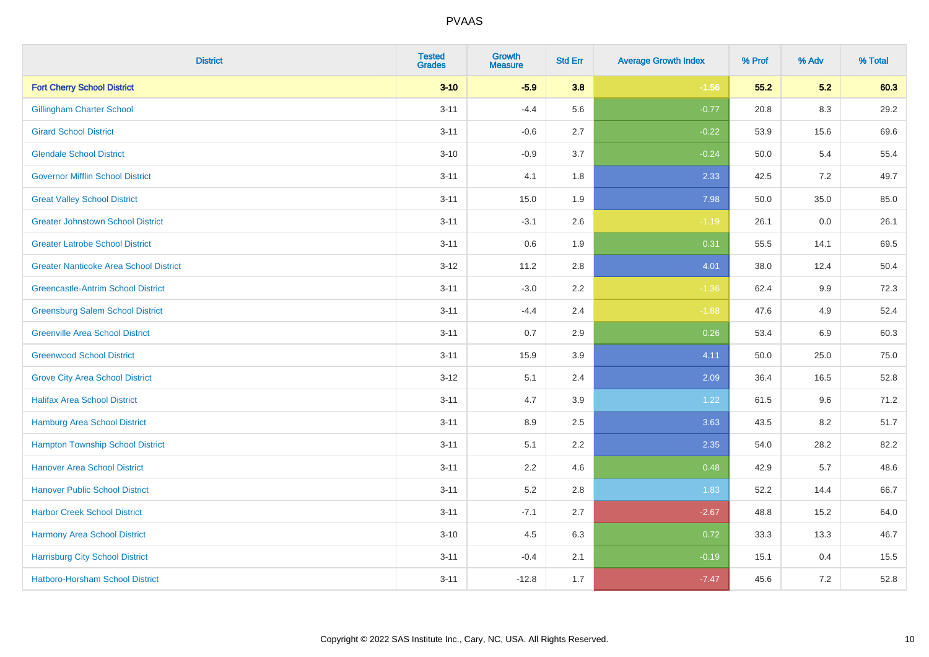| <b>District</b>                               | <b>Tested</b><br><b>Grades</b> | <b>Growth</b><br><b>Measure</b> | <b>Std Err</b> | <b>Average Growth Index</b> | % Prof | % Adv   | % Total |
|-----------------------------------------------|--------------------------------|---------------------------------|----------------|-----------------------------|--------|---------|---------|
| <b>Fort Cherry School District</b>            | $3 - 10$                       | $-5.9$                          | 3.8            | $-1.56$                     | 55.2   | 5.2     | 60.3    |
| <b>Gillingham Charter School</b>              | $3 - 11$                       | $-4.4$                          | 5.6            | $-0.77$                     | 20.8   | $8.3\,$ | 29.2    |
| <b>Girard School District</b>                 | $3 - 11$                       | $-0.6$                          | 2.7            | $-0.22$                     | 53.9   | 15.6    | 69.6    |
| <b>Glendale School District</b>               | $3 - 10$                       | $-0.9$                          | 3.7            | $-0.24$                     | 50.0   | 5.4     | 55.4    |
| <b>Governor Mifflin School District</b>       | $3 - 11$                       | 4.1                             | 1.8            | 2.33                        | 42.5   | 7.2     | 49.7    |
| <b>Great Valley School District</b>           | $3 - 11$                       | 15.0                            | 1.9            | 7.98                        | 50.0   | 35.0    | 85.0    |
| <b>Greater Johnstown School District</b>      | $3 - 11$                       | $-3.1$                          | 2.6            | $-1.19$                     | 26.1   | 0.0     | 26.1    |
| <b>Greater Latrobe School District</b>        | $3 - 11$                       | 0.6                             | 1.9            | 0.31                        | 55.5   | 14.1    | 69.5    |
| <b>Greater Nanticoke Area School District</b> | $3 - 12$                       | 11.2                            | 2.8            | 4.01                        | 38.0   | 12.4    | 50.4    |
| <b>Greencastle-Antrim School District</b>     | $3 - 11$                       | $-3.0$                          | 2.2            | $-1.36$                     | 62.4   | 9.9     | 72.3    |
| <b>Greensburg Salem School District</b>       | $3 - 11$                       | $-4.4$                          | 2.4            | $-1.88$                     | 47.6   | 4.9     | 52.4    |
| <b>Greenville Area School District</b>        | $3 - 11$                       | 0.7                             | 2.9            | 0.26                        | 53.4   | 6.9     | 60.3    |
| <b>Greenwood School District</b>              | $3 - 11$                       | 15.9                            | 3.9            | 4.11                        | 50.0   | 25.0    | 75.0    |
| <b>Grove City Area School District</b>        | $3 - 12$                       | 5.1                             | 2.4            | 2.09                        | 36.4   | 16.5    | 52.8    |
| <b>Halifax Area School District</b>           | $3 - 11$                       | 4.7                             | 3.9            | 1.22                        | 61.5   | 9.6     | 71.2    |
| <b>Hamburg Area School District</b>           | $3 - 11$                       | 8.9                             | 2.5            | 3.63                        | 43.5   | 8.2     | 51.7    |
| <b>Hampton Township School District</b>       | $3 - 11$                       | 5.1                             | 2.2            | 2.35                        | 54.0   | 28.2    | 82.2    |
| <b>Hanover Area School District</b>           | $3 - 11$                       | 2.2                             | 4.6            | 0.48                        | 42.9   | 5.7     | 48.6    |
| <b>Hanover Public School District</b>         | $3 - 11$                       | 5.2                             | 2.8            | 1.83                        | 52.2   | 14.4    | 66.7    |
| <b>Harbor Creek School District</b>           | $3 - 11$                       | $-7.1$                          | 2.7            | $-2.67$                     | 48.8   | 15.2    | 64.0    |
| Harmony Area School District                  | $3 - 10$                       | 4.5                             | 6.3            | 0.72                        | 33.3   | 13.3    | 46.7    |
| <b>Harrisburg City School District</b>        | $3 - 11$                       | $-0.4$                          | 2.1            | $-0.19$                     | 15.1   | 0.4     | 15.5    |
| Hatboro-Horsham School District               | $3 - 11$                       | $-12.8$                         | 1.7            | $-7.47$                     | 45.6   | 7.2     | 52.8    |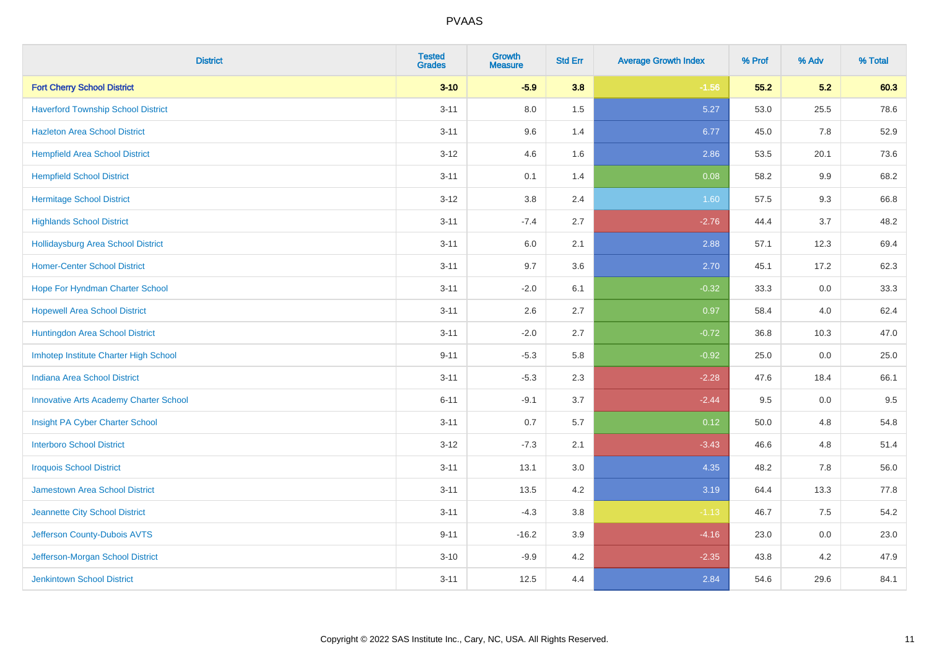| <b>District</b>                               | <b>Tested</b><br><b>Grades</b> | <b>Growth</b><br><b>Measure</b> | <b>Std Err</b> | <b>Average Growth Index</b> | % Prof | % Adv | % Total |
|-----------------------------------------------|--------------------------------|---------------------------------|----------------|-----------------------------|--------|-------|---------|
| <b>Fort Cherry School District</b>            | $3 - 10$                       | $-5.9$                          | 3.8            | $-1.56$                     | 55.2   | 5.2   | 60.3    |
| <b>Haverford Township School District</b>     | $3 - 11$                       | 8.0                             | 1.5            | 5.27                        | 53.0   | 25.5  | 78.6    |
| <b>Hazleton Area School District</b>          | $3 - 11$                       | 9.6                             | 1.4            | 6.77                        | 45.0   | 7.8   | 52.9    |
| <b>Hempfield Area School District</b>         | $3 - 12$                       | 4.6                             | 1.6            | 2.86                        | 53.5   | 20.1  | 73.6    |
| <b>Hempfield School District</b>              | $3 - 11$                       | 0.1                             | 1.4            | 0.08                        | 58.2   | 9.9   | 68.2    |
| <b>Hermitage School District</b>              | $3-12$                         | 3.8                             | 2.4            | 1.60                        | 57.5   | 9.3   | 66.8    |
| <b>Highlands School District</b>              | $3 - 11$                       | $-7.4$                          | 2.7            | $-2.76$                     | 44.4   | 3.7   | 48.2    |
| <b>Hollidaysburg Area School District</b>     | $3 - 11$                       | 6.0                             | 2.1            | 2.88                        | 57.1   | 12.3  | 69.4    |
| <b>Homer-Center School District</b>           | $3 - 11$                       | 9.7                             | 3.6            | 2.70                        | 45.1   | 17.2  | 62.3    |
| Hope For Hyndman Charter School               | $3 - 11$                       | $-2.0$                          | 6.1            | $-0.32$                     | 33.3   | 0.0   | 33.3    |
| <b>Hopewell Area School District</b>          | $3 - 11$                       | 2.6                             | 2.7            | 0.97                        | 58.4   | 4.0   | 62.4    |
| Huntingdon Area School District               | $3 - 11$                       | $-2.0$                          | 2.7            | $-0.72$                     | 36.8   | 10.3  | 47.0    |
| Imhotep Institute Charter High School         | $9 - 11$                       | $-5.3$                          | 5.8            | $-0.92$                     | 25.0   | 0.0   | 25.0    |
| <b>Indiana Area School District</b>           | $3 - 11$                       | $-5.3$                          | 2.3            | $-2.28$                     | 47.6   | 18.4  | 66.1    |
| <b>Innovative Arts Academy Charter School</b> | $6 - 11$                       | $-9.1$                          | 3.7            | $-2.44$                     | 9.5    | 0.0   | 9.5     |
| Insight PA Cyber Charter School               | $3 - 11$                       | 0.7                             | 5.7            | 0.12                        | 50.0   | 4.8   | 54.8    |
| <b>Interboro School District</b>              | $3 - 12$                       | $-7.3$                          | 2.1            | $-3.43$                     | 46.6   | 4.8   | 51.4    |
| <b>Iroquois School District</b>               | $3 - 11$                       | 13.1                            | 3.0            | 4.35                        | 48.2   | 7.8   | 56.0    |
| Jamestown Area School District                | $3 - 11$                       | 13.5                            | 4.2            | 3.19                        | 64.4   | 13.3  | 77.8    |
| Jeannette City School District                | $3 - 11$                       | $-4.3$                          | 3.8            | $-1.13$                     | 46.7   | 7.5   | 54.2    |
| Jefferson County-Dubois AVTS                  | $9 - 11$                       | $-16.2$                         | 3.9            | $-4.16$                     | 23.0   | 0.0   | 23.0    |
| Jefferson-Morgan School District              | $3 - 10$                       | $-9.9$                          | 4.2            | $-2.35$                     | 43.8   | 4.2   | 47.9    |
| <b>Jenkintown School District</b>             | $3 - 11$                       | 12.5                            | 4.4            | 2.84                        | 54.6   | 29.6  | 84.1    |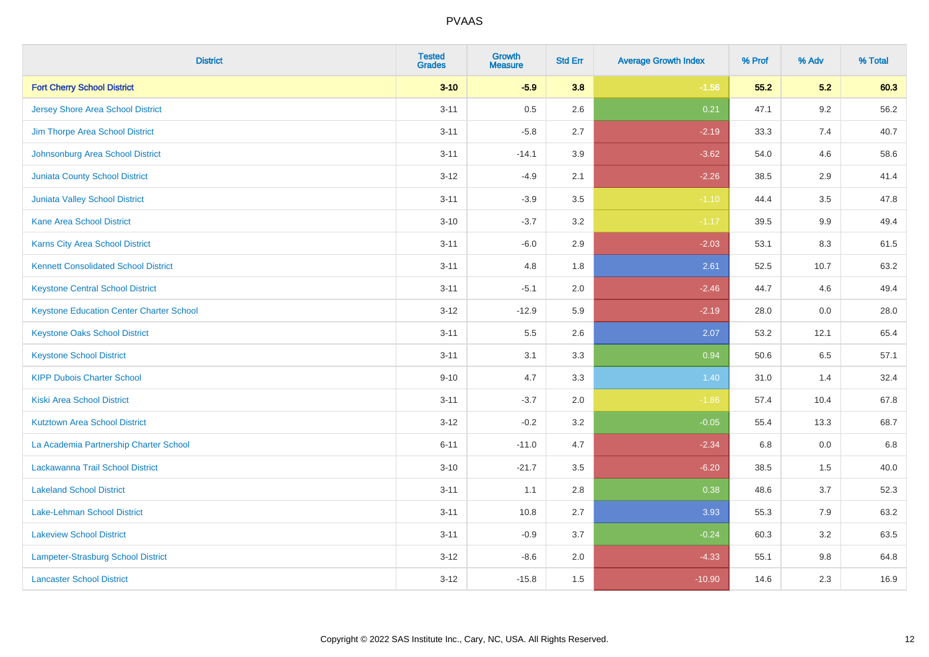| <b>District</b>                                 | <b>Tested</b><br><b>Grades</b> | <b>Growth</b><br><b>Measure</b> | <b>Std Err</b> | <b>Average Growth Index</b> | % Prof | % Adv   | % Total |
|-------------------------------------------------|--------------------------------|---------------------------------|----------------|-----------------------------|--------|---------|---------|
| <b>Fort Cherry School District</b>              | $3 - 10$                       | $-5.9$                          | 3.8            | $-1.56$                     | 55.2   | 5.2     | 60.3    |
| Jersey Shore Area School District               | $3 - 11$                       | 0.5                             | 2.6            | 0.21                        | 47.1   | $9.2\,$ | 56.2    |
| Jim Thorpe Area School District                 | $3 - 11$                       | $-5.8$                          | 2.7            | $-2.19$                     | 33.3   | 7.4     | 40.7    |
| Johnsonburg Area School District                | $3 - 11$                       | $-14.1$                         | 3.9            | $-3.62$                     | 54.0   | 4.6     | 58.6    |
| <b>Juniata County School District</b>           | $3 - 12$                       | $-4.9$                          | 2.1            | $-2.26$                     | 38.5   | 2.9     | 41.4    |
| Juniata Valley School District                  | $3 - 11$                       | $-3.9$                          | 3.5            | $-1.10$                     | 44.4   | 3.5     | 47.8    |
| <b>Kane Area School District</b>                | $3 - 10$                       | $-3.7$                          | 3.2            | $-1.17$                     | 39.5   | 9.9     | 49.4    |
| <b>Karns City Area School District</b>          | $3 - 11$                       | $-6.0$                          | 2.9            | $-2.03$                     | 53.1   | 8.3     | 61.5    |
| <b>Kennett Consolidated School District</b>     | $3 - 11$                       | 4.8                             | 1.8            | 2.61                        | 52.5   | 10.7    | 63.2    |
| <b>Keystone Central School District</b>         | $3 - 11$                       | $-5.1$                          | 2.0            | $-2.46$                     | 44.7   | 4.6     | 49.4    |
| <b>Keystone Education Center Charter School</b> | $3 - 12$                       | $-12.9$                         | 5.9            | $-2.19$                     | 28.0   | 0.0     | 28.0    |
| <b>Keystone Oaks School District</b>            | $3 - 11$                       | 5.5                             | 2.6            | 2.07                        | 53.2   | 12.1    | 65.4    |
| <b>Keystone School District</b>                 | $3 - 11$                       | 3.1                             | 3.3            | 0.94                        | 50.6   | 6.5     | 57.1    |
| <b>KIPP Dubois Charter School</b>               | $9 - 10$                       | 4.7                             | 3.3            | 1.40                        | 31.0   | 1.4     | 32.4    |
| <b>Kiski Area School District</b>               | $3 - 11$                       | $-3.7$                          | 2.0            | $-1.86$                     | 57.4   | 10.4    | 67.8    |
| <b>Kutztown Area School District</b>            | $3 - 12$                       | $-0.2$                          | 3.2            | $-0.05$                     | 55.4   | 13.3    | 68.7    |
| La Academia Partnership Charter School          | $6 - 11$                       | $-11.0$                         | 4.7            | $-2.34$                     | 6.8    | 0.0     | 6.8     |
| Lackawanna Trail School District                | $3 - 10$                       | $-21.7$                         | 3.5            | $-6.20$                     | 38.5   | 1.5     | 40.0    |
| <b>Lakeland School District</b>                 | $3 - 11$                       | 1.1                             | 2.8            | 0.38                        | 48.6   | 3.7     | 52.3    |
| Lake-Lehman School District                     | $3 - 11$                       | 10.8                            | 2.7            | 3.93                        | 55.3   | 7.9     | 63.2    |
| <b>Lakeview School District</b>                 | $3 - 11$                       | $-0.9$                          | 3.7            | $-0.24$                     | 60.3   | 3.2     | 63.5    |
| <b>Lampeter-Strasburg School District</b>       | $3 - 12$                       | $-8.6$                          | 2.0            | $-4.33$                     | 55.1   | 9.8     | 64.8    |
| <b>Lancaster School District</b>                | $3 - 12$                       | $-15.8$                         | 1.5            | $-10.90$                    | 14.6   | 2.3     | 16.9    |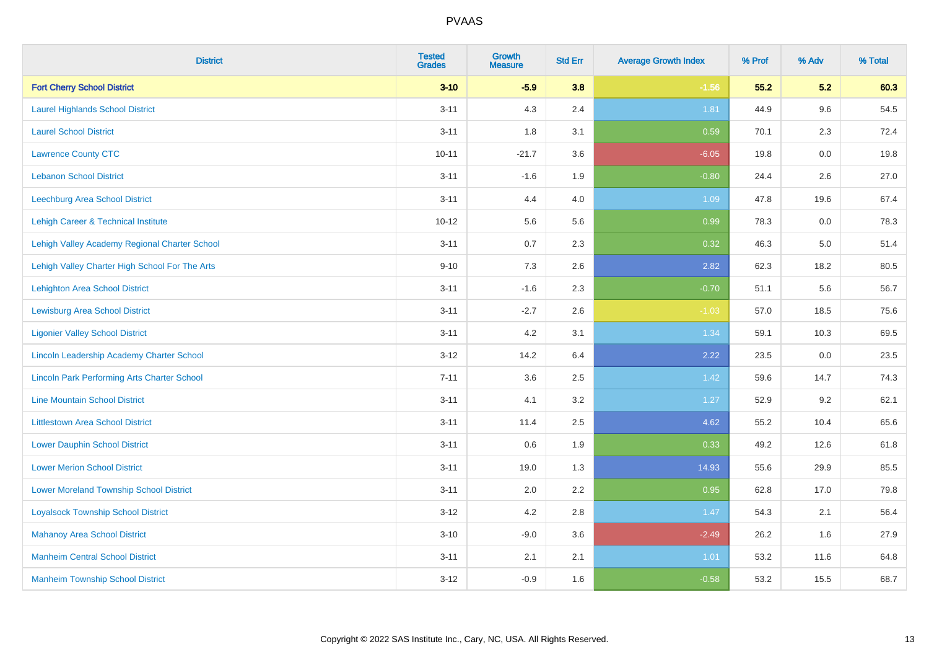| <b>District</b>                                    | <b>Tested</b><br><b>Grades</b> | Growth<br><b>Measure</b> | <b>Std Err</b> | <b>Average Growth Index</b> | % Prof | % Adv   | % Total |
|----------------------------------------------------|--------------------------------|--------------------------|----------------|-----------------------------|--------|---------|---------|
| <b>Fort Cherry School District</b>                 | $3 - 10$                       | $-5.9$                   | 3.8            | $-1.56$                     | 55.2   | 5.2     | 60.3    |
| <b>Laurel Highlands School District</b>            | $3 - 11$                       | 4.3                      | 2.4            | 1.81                        | 44.9   | 9.6     | 54.5    |
| <b>Laurel School District</b>                      | $3 - 11$                       | 1.8                      | 3.1            | 0.59                        | 70.1   | 2.3     | 72.4    |
| <b>Lawrence County CTC</b>                         | $10 - 11$                      | $-21.7$                  | 3.6            | $-6.05$                     | 19.8   | $0.0\,$ | 19.8    |
| <b>Lebanon School District</b>                     | $3 - 11$                       | $-1.6$                   | 1.9            | $-0.80$                     | 24.4   | 2.6     | 27.0    |
| <b>Leechburg Area School District</b>              | $3 - 11$                       | 4.4                      | 4.0            | 1.09                        | 47.8   | 19.6    | 67.4    |
| Lehigh Career & Technical Institute                | $10 - 12$                      | 5.6                      | 5.6            | 0.99                        | 78.3   | 0.0     | 78.3    |
| Lehigh Valley Academy Regional Charter School      | $3 - 11$                       | 0.7                      | 2.3            | 0.32                        | 46.3   | 5.0     | 51.4    |
| Lehigh Valley Charter High School For The Arts     | $9 - 10$                       | 7.3                      | 2.6            | 2.82                        | 62.3   | 18.2    | 80.5    |
| <b>Lehighton Area School District</b>              | $3 - 11$                       | $-1.6$                   | 2.3            | $-0.70$                     | 51.1   | 5.6     | 56.7    |
| <b>Lewisburg Area School District</b>              | $3 - 11$                       | $-2.7$                   | 2.6            | $-1.03$                     | 57.0   | 18.5    | 75.6    |
| <b>Ligonier Valley School District</b>             | $3 - 11$                       | 4.2                      | 3.1            | 1.34                        | 59.1   | 10.3    | 69.5    |
| Lincoln Leadership Academy Charter School          | $3 - 12$                       | 14.2                     | 6.4            | 2.22                        | 23.5   | 0.0     | 23.5    |
| <b>Lincoln Park Performing Arts Charter School</b> | $7 - 11$                       | 3.6                      | 2.5            | 1.42                        | 59.6   | 14.7    | 74.3    |
| <b>Line Mountain School District</b>               | $3 - 11$                       | 4.1                      | 3.2            | 1.27                        | 52.9   | 9.2     | 62.1    |
| <b>Littlestown Area School District</b>            | $3 - 11$                       | 11.4                     | 2.5            | 4.62                        | 55.2   | 10.4    | 65.6    |
| <b>Lower Dauphin School District</b>               | $3 - 11$                       | 0.6                      | 1.9            | 0.33                        | 49.2   | 12.6    | 61.8    |
| <b>Lower Merion School District</b>                | $3 - 11$                       | 19.0                     | 1.3            | 14.93                       | 55.6   | 29.9    | 85.5    |
| <b>Lower Moreland Township School District</b>     | $3 - 11$                       | 2.0                      | 2.2            | 0.95                        | 62.8   | 17.0    | 79.8    |
| <b>Loyalsock Township School District</b>          | $3 - 12$                       | 4.2                      | 2.8            | 1.47                        | 54.3   | 2.1     | 56.4    |
| <b>Mahanoy Area School District</b>                | $3 - 10$                       | $-9.0$                   | 3.6            | $-2.49$                     | 26.2   | 1.6     | 27.9    |
| <b>Manheim Central School District</b>             | $3 - 11$                       | 2.1                      | 2.1            | 1.01                        | 53.2   | 11.6    | 64.8    |
| <b>Manheim Township School District</b>            | $3 - 12$                       | $-0.9$                   | 1.6            | $-0.58$                     | 53.2   | 15.5    | 68.7    |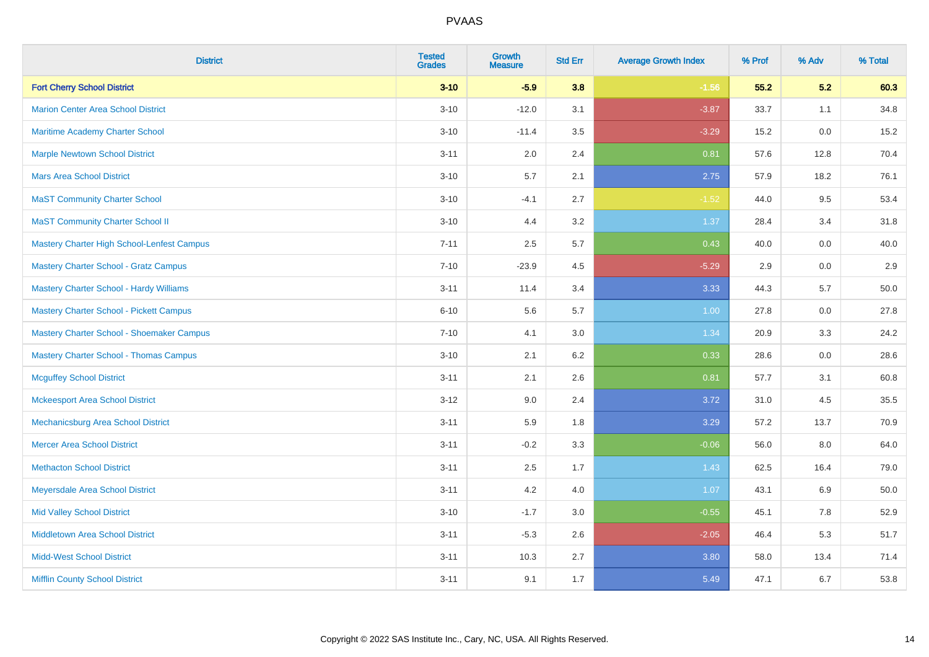| <b>District</b>                                | <b>Tested</b><br><b>Grades</b> | <b>Growth</b><br><b>Measure</b> | <b>Std Err</b> | <b>Average Growth Index</b> | % Prof | % Adv | % Total |
|------------------------------------------------|--------------------------------|---------------------------------|----------------|-----------------------------|--------|-------|---------|
| <b>Fort Cherry School District</b>             | $3 - 10$                       | $-5.9$                          | 3.8            | $-1.56$                     | 55.2   | 5.2   | 60.3    |
| <b>Marion Center Area School District</b>      | $3 - 10$                       | $-12.0$                         | 3.1            | $-3.87$                     | 33.7   | 1.1   | 34.8    |
| <b>Maritime Academy Charter School</b>         | $3 - 10$                       | $-11.4$                         | 3.5            | $-3.29$                     | 15.2   | 0.0   | 15.2    |
| <b>Marple Newtown School District</b>          | $3 - 11$                       | 2.0                             | 2.4            | 0.81                        | 57.6   | 12.8  | 70.4    |
| <b>Mars Area School District</b>               | $3 - 10$                       | 5.7                             | 2.1            | 2.75                        | 57.9   | 18.2  | 76.1    |
| <b>MaST Community Charter School</b>           | $3 - 10$                       | $-4.1$                          | 2.7            | $-1.52$                     | 44.0   | 9.5   | 53.4    |
| <b>MaST Community Charter School II</b>        | $3 - 10$                       | 4.4                             | 3.2            | 1.37                        | 28.4   | 3.4   | 31.8    |
| Mastery Charter High School-Lenfest Campus     | $7 - 11$                       | 2.5                             | 5.7            | 0.43                        | 40.0   | 0.0   | 40.0    |
| <b>Mastery Charter School - Gratz Campus</b>   | $7 - 10$                       | $-23.9$                         | 4.5            | $-5.29$                     | 2.9    | 0.0   | $2.9\,$ |
| <b>Mastery Charter School - Hardy Williams</b> | $3 - 11$                       | 11.4                            | 3.4            | 3.33                        | 44.3   | 5.7   | 50.0    |
| <b>Mastery Charter School - Pickett Campus</b> | $6 - 10$                       | 5.6                             | 5.7            | 1.00                        | 27.8   | 0.0   | 27.8    |
| Mastery Charter School - Shoemaker Campus      | $7 - 10$                       | 4.1                             | 3.0            | 1.34                        | 20.9   | 3.3   | 24.2    |
| <b>Mastery Charter School - Thomas Campus</b>  | $3 - 10$                       | 2.1                             | 6.2            | 0.33                        | 28.6   | 0.0   | 28.6    |
| <b>Mcguffey School District</b>                | $3 - 11$                       | 2.1                             | 2.6            | 0.81                        | 57.7   | 3.1   | 60.8    |
| <b>Mckeesport Area School District</b>         | $3 - 12$                       | 9.0                             | 2.4            | 3.72                        | 31.0   | 4.5   | 35.5    |
| Mechanicsburg Area School District             | $3 - 11$                       | 5.9                             | 1.8            | 3.29                        | 57.2   | 13.7  | 70.9    |
| <b>Mercer Area School District</b>             | $3 - 11$                       | $-0.2$                          | 3.3            | $-0.06$                     | 56.0   | 8.0   | 64.0    |
| <b>Methacton School District</b>               | $3 - 11$                       | 2.5                             | 1.7            | 1.43                        | 62.5   | 16.4  | 79.0    |
| Meyersdale Area School District                | $3 - 11$                       | 4.2                             | 4.0            | 1.07                        | 43.1   | 6.9   | 50.0    |
| <b>Mid Valley School District</b>              | $3 - 10$                       | $-1.7$                          | 3.0            | $-0.55$                     | 45.1   | 7.8   | 52.9    |
| <b>Middletown Area School District</b>         | $3 - 11$                       | $-5.3$                          | 2.6            | $-2.05$                     | 46.4   | 5.3   | 51.7    |
| <b>Midd-West School District</b>               | $3 - 11$                       | 10.3                            | 2.7            | 3.80                        | 58.0   | 13.4  | 71.4    |
| <b>Mifflin County School District</b>          | $3 - 11$                       | 9.1                             | 1.7            | 5.49                        | 47.1   | 6.7   | 53.8    |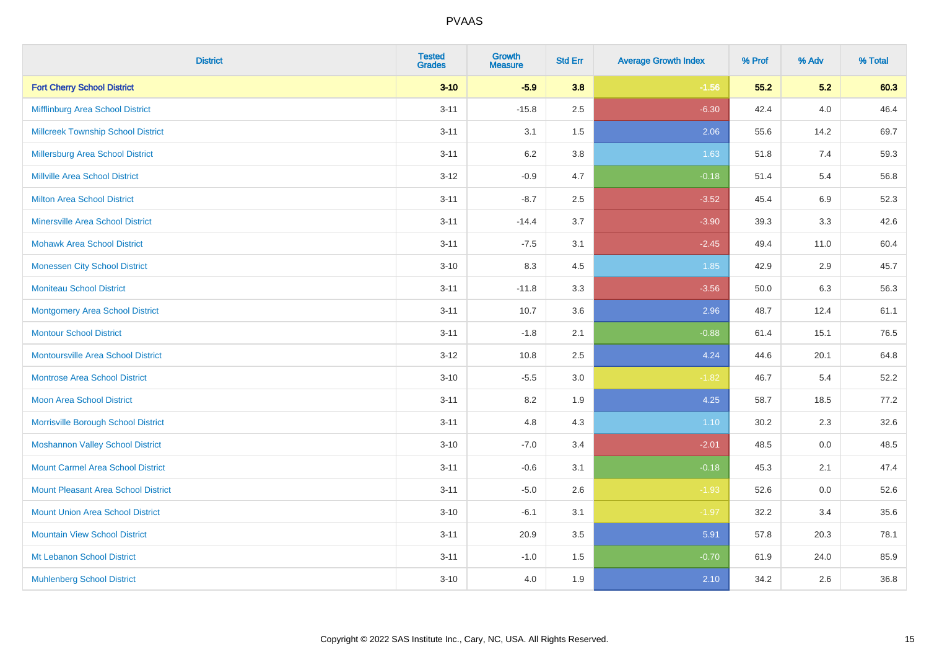| <b>District</b>                            | <b>Tested</b><br><b>Grades</b> | <b>Growth</b><br><b>Measure</b> | <b>Std Err</b> | <b>Average Growth Index</b> | % Prof | % Adv   | % Total |
|--------------------------------------------|--------------------------------|---------------------------------|----------------|-----------------------------|--------|---------|---------|
| <b>Fort Cherry School District</b>         | $3 - 10$                       | $-5.9$                          | 3.8            | $-1.56$                     | 55.2   | 5.2     | 60.3    |
| Mifflinburg Area School District           | $3 - 11$                       | $-15.8$                         | 2.5            | $-6.30$                     | 42.4   | 4.0     | 46.4    |
| <b>Millcreek Township School District</b>  | $3 - 11$                       | 3.1                             | 1.5            | 2.06                        | 55.6   | 14.2    | 69.7    |
| <b>Millersburg Area School District</b>    | $3 - 11$                       | 6.2                             | 3.8            | 1.63                        | 51.8   | 7.4     | 59.3    |
| <b>Millville Area School District</b>      | $3 - 12$                       | $-0.9$                          | 4.7            | $-0.18$                     | 51.4   | 5.4     | 56.8    |
| <b>Milton Area School District</b>         | $3 - 11$                       | $-8.7$                          | 2.5            | $-3.52$                     | 45.4   | $6.9\,$ | 52.3    |
| <b>Minersville Area School District</b>    | $3 - 11$                       | $-14.4$                         | 3.7            | $-3.90$                     | 39.3   | 3.3     | 42.6    |
| <b>Mohawk Area School District</b>         | $3 - 11$                       | $-7.5$                          | 3.1            | $-2.45$                     | 49.4   | 11.0    | 60.4    |
| <b>Monessen City School District</b>       | $3 - 10$                       | 8.3                             | 4.5            | 1.85                        | 42.9   | 2.9     | 45.7    |
| <b>Moniteau School District</b>            | $3 - 11$                       | $-11.8$                         | 3.3            | $-3.56$                     | 50.0   | 6.3     | 56.3    |
| <b>Montgomery Area School District</b>     | $3 - 11$                       | 10.7                            | 3.6            | 2.96                        | 48.7   | 12.4    | 61.1    |
| <b>Montour School District</b>             | $3 - 11$                       | $-1.8$                          | 2.1            | $-0.88$                     | 61.4   | 15.1    | 76.5    |
| <b>Montoursville Area School District</b>  | $3-12$                         | 10.8                            | 2.5            | 4.24                        | 44.6   | 20.1    | 64.8    |
| <b>Montrose Area School District</b>       | $3 - 10$                       | $-5.5$                          | 3.0            | $-1.82$                     | 46.7   | 5.4     | 52.2    |
| Moon Area School District                  | $3 - 11$                       | 8.2                             | 1.9            | 4.25                        | 58.7   | 18.5    | 77.2    |
| Morrisville Borough School District        | $3 - 11$                       | 4.8                             | 4.3            | 1.10                        | 30.2   | 2.3     | 32.6    |
| <b>Moshannon Valley School District</b>    | $3 - 10$                       | $-7.0$                          | 3.4            | $-2.01$                     | 48.5   | 0.0     | 48.5    |
| <b>Mount Carmel Area School District</b>   | $3 - 11$                       | $-0.6$                          | 3.1            | $-0.18$                     | 45.3   | 2.1     | 47.4    |
| <b>Mount Pleasant Area School District</b> | $3 - 11$                       | $-5.0$                          | 2.6            | $-1.93$                     | 52.6   | 0.0     | 52.6    |
| <b>Mount Union Area School District</b>    | $3 - 10$                       | $-6.1$                          | 3.1            | $-1.97$                     | 32.2   | 3.4     | 35.6    |
| <b>Mountain View School District</b>       | $3 - 11$                       | 20.9                            | 3.5            | 5.91                        | 57.8   | 20.3    | 78.1    |
| Mt Lebanon School District                 | $3 - 11$                       | $-1.0$                          | 1.5            | $-0.70$                     | 61.9   | 24.0    | 85.9    |
| <b>Muhlenberg School District</b>          | $3 - 10$                       | 4.0                             | 1.9            | 2.10                        | 34.2   | 2.6     | 36.8    |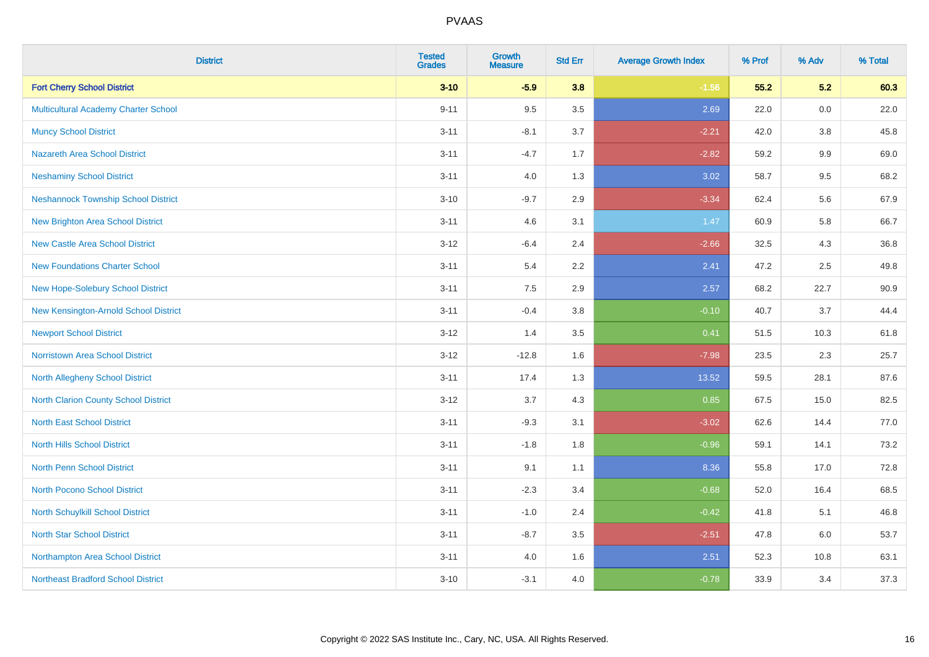| <b>District</b>                             | <b>Tested</b><br><b>Grades</b> | <b>Growth</b><br><b>Measure</b> | <b>Std Err</b> | <b>Average Growth Index</b> | % Prof | % Adv | % Total |
|---------------------------------------------|--------------------------------|---------------------------------|----------------|-----------------------------|--------|-------|---------|
| <b>Fort Cherry School District</b>          | $3 - 10$                       | $-5.9$                          | 3.8            | $-1.56$                     | 55.2   | 5.2   | 60.3    |
| Multicultural Academy Charter School        | $9 - 11$                       | 9.5                             | 3.5            | 2.69                        | 22.0   | 0.0   | 22.0    |
| <b>Muncy School District</b>                | $3 - 11$                       | $-8.1$                          | 3.7            | $-2.21$                     | 42.0   | 3.8   | 45.8    |
| Nazareth Area School District               | $3 - 11$                       | $-4.7$                          | 1.7            | $-2.82$                     | 59.2   | 9.9   | 69.0    |
| <b>Neshaminy School District</b>            | $3 - 11$                       | 4.0                             | 1.3            | 3.02                        | 58.7   | 9.5   | 68.2    |
| <b>Neshannock Township School District</b>  | $3 - 10$                       | $-9.7$                          | 2.9            | $-3.34$                     | 62.4   | 5.6   | 67.9    |
| <b>New Brighton Area School District</b>    | $3 - 11$                       | 4.6                             | 3.1            | 1.47                        | 60.9   | 5.8   | 66.7    |
| <b>New Castle Area School District</b>      | $3 - 12$                       | $-6.4$                          | 2.4            | $-2.66$                     | 32.5   | 4.3   | 36.8    |
| <b>New Foundations Charter School</b>       | $3 - 11$                       | 5.4                             | $2.2^{\circ}$  | 2.41                        | 47.2   | 2.5   | 49.8    |
| <b>New Hope-Solebury School District</b>    | $3 - 11$                       | 7.5                             | 2.9            | 2.57                        | 68.2   | 22.7  | 90.9    |
| New Kensington-Arnold School District       | $3 - 11$                       | $-0.4$                          | 3.8            | $-0.10$                     | 40.7   | 3.7   | 44.4    |
| <b>Newport School District</b>              | $3 - 12$                       | 1.4                             | 3.5            | 0.41                        | 51.5   | 10.3  | 61.8    |
| Norristown Area School District             | $3-12$                         | $-12.8$                         | 1.6            | $-7.98$                     | 23.5   | 2.3   | 25.7    |
| North Allegheny School District             | $3 - 11$                       | 17.4                            | 1.3            | 13.52                       | 59.5   | 28.1  | 87.6    |
| <b>North Clarion County School District</b> | $3 - 12$                       | 3.7                             | 4.3            | 0.85                        | 67.5   | 15.0  | 82.5    |
| <b>North East School District</b>           | $3 - 11$                       | $-9.3$                          | 3.1            | $-3.02$                     | 62.6   | 14.4  | 77.0    |
| <b>North Hills School District</b>          | $3 - 11$                       | $-1.8$                          | 1.8            | $-0.96$                     | 59.1   | 14.1  | 73.2    |
| <b>North Penn School District</b>           | $3 - 11$                       | 9.1                             | 1.1            | 8.36                        | 55.8   | 17.0  | 72.8    |
| <b>North Pocono School District</b>         | $3 - 11$                       | $-2.3$                          | 3.4            | $-0.68$                     | 52.0   | 16.4  | 68.5    |
| <b>North Schuylkill School District</b>     | $3 - 11$                       | $-1.0$                          | 2.4            | $-0.42$                     | 41.8   | 5.1   | 46.8    |
| <b>North Star School District</b>           | $3 - 11$                       | $-8.7$                          | 3.5            | $-2.51$                     | 47.8   | 6.0   | 53.7    |
| Northampton Area School District            | $3 - 11$                       | 4.0                             | 1.6            | 2.51                        | 52.3   | 10.8  | 63.1    |
| <b>Northeast Bradford School District</b>   | $3 - 10$                       | $-3.1$                          | 4.0            | $-0.78$                     | 33.9   | 3.4   | 37.3    |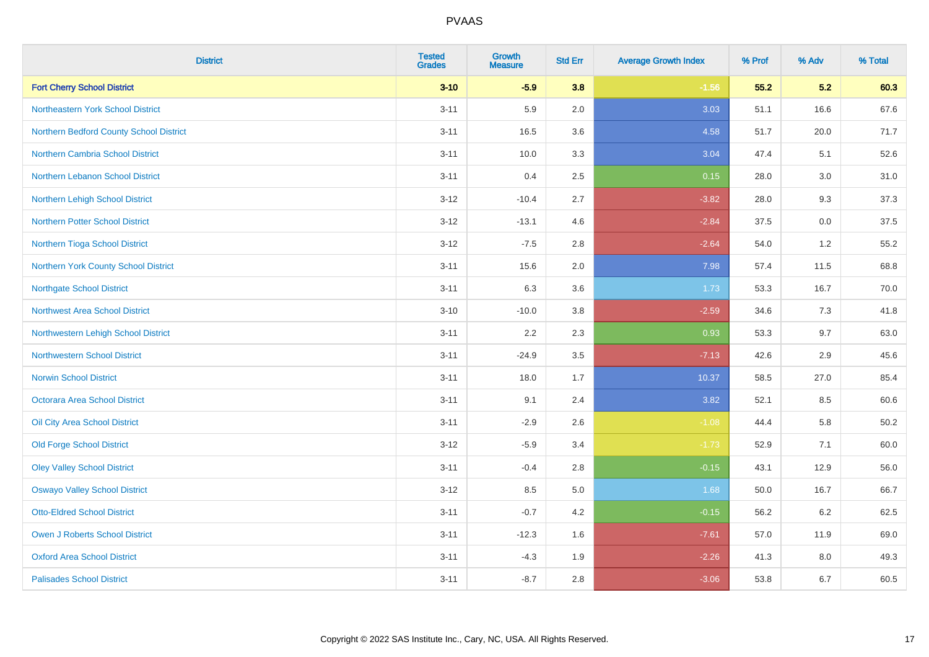| <b>District</b>                         | <b>Tested</b><br><b>Grades</b> | <b>Growth</b><br><b>Measure</b> | <b>Std Err</b> | <b>Average Growth Index</b> | % Prof | % Adv | % Total  |
|-----------------------------------------|--------------------------------|---------------------------------|----------------|-----------------------------|--------|-------|----------|
| <b>Fort Cherry School District</b>      | $3 - 10$                       | $-5.9$                          | 3.8            | $-1.56$                     | 55.2   | 5.2   | 60.3     |
| Northeastern York School District       | $3 - 11$                       | 5.9                             | 2.0            | 3.03                        | 51.1   | 16.6  | 67.6     |
| Northern Bedford County School District | $3 - 11$                       | 16.5                            | 3.6            | 4.58                        | 51.7   | 20.0  | 71.7     |
| <b>Northern Cambria School District</b> | $3 - 11$                       | 10.0                            | 3.3            | 3.04                        | 47.4   | 5.1   | 52.6     |
| Northern Lebanon School District        | $3 - 11$                       | 0.4                             | 2.5            | 0.15                        | 28.0   | 3.0   | 31.0     |
| Northern Lehigh School District         | $3 - 12$                       | $-10.4$                         | 2.7            | $-3.82$                     | 28.0   | 9.3   | 37.3     |
| <b>Northern Potter School District</b>  | $3 - 12$                       | $-13.1$                         | 4.6            | $-2.84$                     | 37.5   | 0.0   | 37.5     |
| Northern Tioga School District          | $3 - 12$                       | $-7.5$                          | 2.8            | $-2.64$                     | 54.0   | 1.2   | 55.2     |
| Northern York County School District    | $3 - 11$                       | 15.6                            | 2.0            | 7.98                        | 57.4   | 11.5  | 68.8     |
| <b>Northgate School District</b>        | $3 - 11$                       | 6.3                             | 3.6            | 1.73                        | 53.3   | 16.7  | 70.0     |
| <b>Northwest Area School District</b>   | $3 - 10$                       | $-10.0$                         | 3.8            | $-2.59$                     | 34.6   | 7.3   | 41.8     |
| Northwestern Lehigh School District     | $3 - 11$                       | 2.2                             | 2.3            | 0.93                        | 53.3   | 9.7   | 63.0     |
| <b>Northwestern School District</b>     | $3 - 11$                       | $-24.9$                         | 3.5            | $-7.13$                     | 42.6   | 2.9   | 45.6     |
| <b>Norwin School District</b>           | $3 - 11$                       | 18.0                            | 1.7            | 10.37                       | 58.5   | 27.0  | 85.4     |
| Octorara Area School District           | $3 - 11$                       | 9.1                             | 2.4            | 3.82                        | 52.1   | 8.5   | 60.6     |
| Oil City Area School District           | $3 - 11$                       | $-2.9$                          | 2.6            | $-1.08$                     | 44.4   | 5.8   | $50.2\,$ |
| <b>Old Forge School District</b>        | $3 - 12$                       | $-5.9$                          | 3.4            | $-1.73$                     | 52.9   | 7.1   | 60.0     |
| <b>Oley Valley School District</b>      | $3 - 11$                       | $-0.4$                          | 2.8            | $-0.15$                     | 43.1   | 12.9  | 56.0     |
| <b>Oswayo Valley School District</b>    | $3 - 12$                       | 8.5                             | 5.0            | 1.68                        | 50.0   | 16.7  | 66.7     |
| <b>Otto-Eldred School District</b>      | $3 - 11$                       | $-0.7$                          | 4.2            | $-0.15$                     | 56.2   | 6.2   | 62.5     |
| <b>Owen J Roberts School District</b>   | $3 - 11$                       | $-12.3$                         | 1.6            | $-7.61$                     | 57.0   | 11.9  | 69.0     |
| <b>Oxford Area School District</b>      | $3 - 11$                       | $-4.3$                          | 1.9            | $-2.26$                     | 41.3   | 8.0   | 49.3     |
| <b>Palisades School District</b>        | $3 - 11$                       | $-8.7$                          | 2.8            | $-3.06$                     | 53.8   | 6.7   | 60.5     |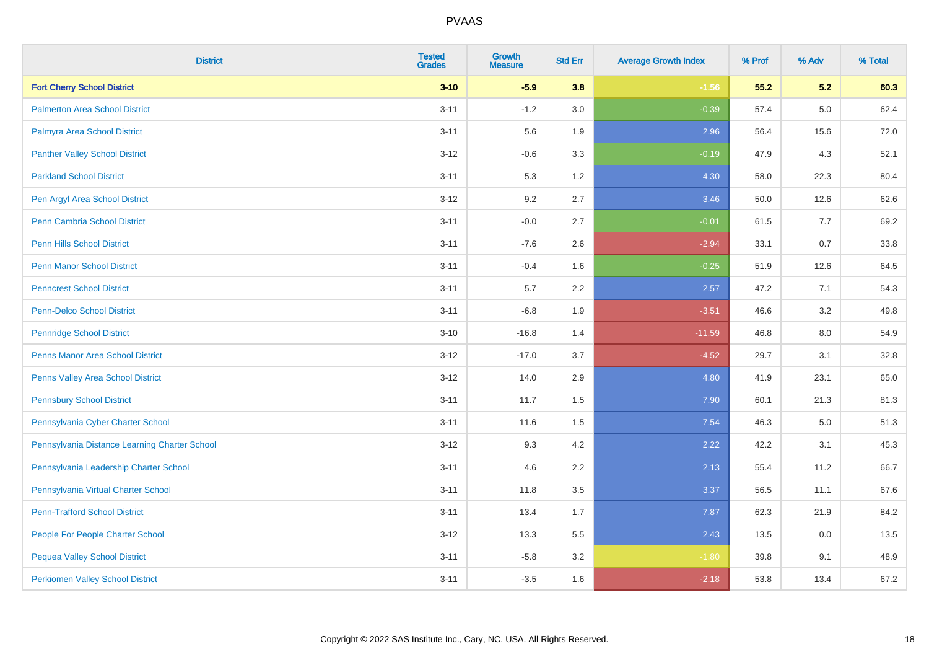| <b>District</b>                               | <b>Tested</b><br><b>Grades</b> | <b>Growth</b><br><b>Measure</b> | <b>Std Err</b> | <b>Average Growth Index</b> | % Prof | % Adv   | % Total |
|-----------------------------------------------|--------------------------------|---------------------------------|----------------|-----------------------------|--------|---------|---------|
| <b>Fort Cherry School District</b>            | $3 - 10$                       | $-5.9$                          | 3.8            | $-1.56$                     | 55.2   | 5.2     | 60.3    |
| <b>Palmerton Area School District</b>         | $3 - 11$                       | $-1.2$                          | 3.0            | $-0.39$                     | 57.4   | $5.0\,$ | 62.4    |
| Palmyra Area School District                  | $3 - 11$                       | 5.6                             | 1.9            | 2.96                        | 56.4   | 15.6    | 72.0    |
| <b>Panther Valley School District</b>         | $3 - 12$                       | $-0.6$                          | 3.3            | $-0.19$                     | 47.9   | 4.3     | 52.1    |
| <b>Parkland School District</b>               | $3 - 11$                       | 5.3                             | 1.2            | 4.30                        | 58.0   | 22.3    | 80.4    |
| Pen Argyl Area School District                | $3 - 12$                       | 9.2                             | 2.7            | 3.46                        | 50.0   | 12.6    | 62.6    |
| Penn Cambria School District                  | $3 - 11$                       | $-0.0$                          | 2.7            | $-0.01$                     | 61.5   | 7.7     | 69.2    |
| <b>Penn Hills School District</b>             | $3 - 11$                       | $-7.6$                          | 2.6            | $-2.94$                     | 33.1   | 0.7     | 33.8    |
| <b>Penn Manor School District</b>             | $3 - 11$                       | $-0.4$                          | 1.6            | $-0.25$                     | 51.9   | 12.6    | 64.5    |
| <b>Penncrest School District</b>              | $3 - 11$                       | 5.7                             | 2.2            | 2.57                        | 47.2   | 7.1     | 54.3    |
| Penn-Delco School District                    | $3 - 11$                       | $-6.8$                          | 1.9            | $-3.51$                     | 46.6   | 3.2     | 49.8    |
| <b>Pennridge School District</b>              | $3 - 10$                       | $-16.8$                         | 1.4            | $-11.59$                    | 46.8   | 8.0     | 54.9    |
| <b>Penns Manor Area School District</b>       | $3 - 12$                       | $-17.0$                         | 3.7            | $-4.52$                     | 29.7   | 3.1     | 32.8    |
| Penns Valley Area School District             | $3 - 12$                       | 14.0                            | 2.9            | 4.80                        | 41.9   | 23.1    | 65.0    |
| <b>Pennsbury School District</b>              | $3 - 11$                       | 11.7                            | 1.5            | 7.90                        | 60.1   | 21.3    | 81.3    |
| Pennsylvania Cyber Charter School             | $3 - 11$                       | 11.6                            | 1.5            | 7.54                        | 46.3   | 5.0     | 51.3    |
| Pennsylvania Distance Learning Charter School | $3 - 12$                       | 9.3                             | 4.2            | 2.22                        | 42.2   | 3.1     | 45.3    |
| Pennsylvania Leadership Charter School        | $3 - 11$                       | 4.6                             | 2.2            | 2.13                        | 55.4   | 11.2    | 66.7    |
| Pennsylvania Virtual Charter School           | $3 - 11$                       | 11.8                            | 3.5            | 3.37                        | 56.5   | 11.1    | 67.6    |
| <b>Penn-Trafford School District</b>          | $3 - 11$                       | 13.4                            | 1.7            | 7.87                        | 62.3   | 21.9    | 84.2    |
| People For People Charter School              | $3 - 12$                       | 13.3                            | 5.5            | 2.43                        | 13.5   | 0.0     | 13.5    |
| <b>Pequea Valley School District</b>          | $3 - 11$                       | $-5.8$                          | 3.2            | $-1.80$                     | 39.8   | 9.1     | 48.9    |
| <b>Perkiomen Valley School District</b>       | $3 - 11$                       | $-3.5$                          | 1.6            | $-2.18$                     | 53.8   | 13.4    | 67.2    |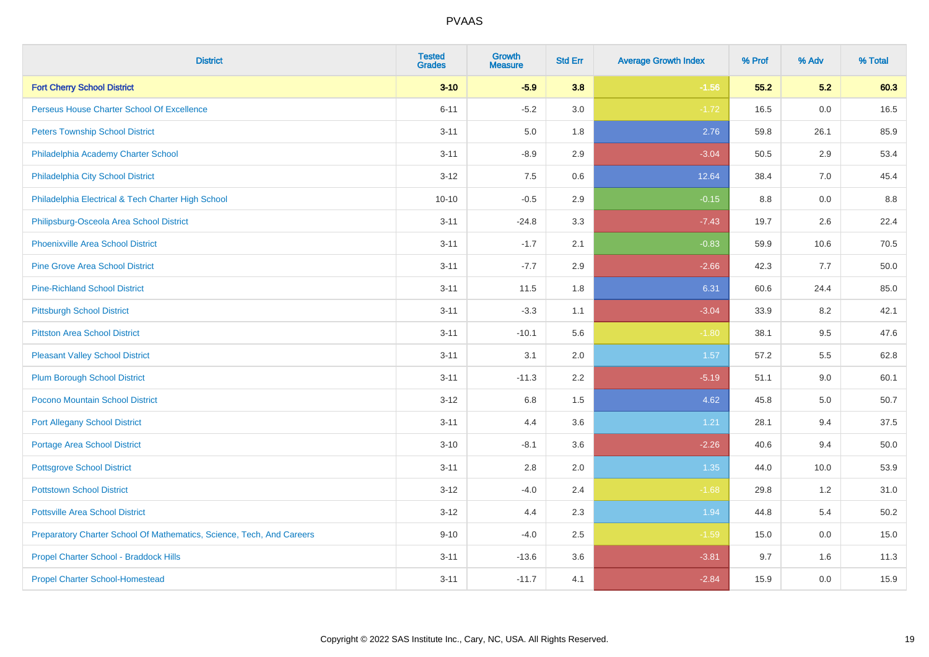| <b>District</b>                                                       | <b>Tested</b><br><b>Grades</b> | <b>Growth</b><br><b>Measure</b> | <b>Std Err</b> | <b>Average Growth Index</b> | % Prof | % Adv | % Total |
|-----------------------------------------------------------------------|--------------------------------|---------------------------------|----------------|-----------------------------|--------|-------|---------|
| <b>Fort Cherry School District</b>                                    | $3 - 10$                       | $-5.9$                          | 3.8            | $-1.56$                     | 55.2   | 5.2   | 60.3    |
| Perseus House Charter School Of Excellence                            | $6 - 11$                       | $-5.2$                          | 3.0            | $-1.72$                     | 16.5   | 0.0   | 16.5    |
| <b>Peters Township School District</b>                                | $3 - 11$                       | 5.0                             | 1.8            | 2.76                        | 59.8   | 26.1  | 85.9    |
| Philadelphia Academy Charter School                                   | $3 - 11$                       | $-8.9$                          | 2.9            | $-3.04$                     | 50.5   | 2.9   | 53.4    |
| Philadelphia City School District                                     | $3 - 12$                       | 7.5                             | 0.6            | 12.64                       | 38.4   | 7.0   | 45.4    |
| Philadelphia Electrical & Tech Charter High School                    | $10 - 10$                      | $-0.5$                          | 2.9            | $-0.15$                     | 8.8    | 0.0   | 8.8     |
| Philipsburg-Osceola Area School District                              | $3 - 11$                       | $-24.8$                         | 3.3            | $-7.43$                     | 19.7   | 2.6   | 22.4    |
| <b>Phoenixville Area School District</b>                              | $3 - 11$                       | $-1.7$                          | 2.1            | $-0.83$                     | 59.9   | 10.6  | 70.5    |
| <b>Pine Grove Area School District</b>                                | $3 - 11$                       | $-7.7$                          | 2.9            | $-2.66$                     | 42.3   | 7.7   | 50.0    |
| <b>Pine-Richland School District</b>                                  | $3 - 11$                       | 11.5                            | 1.8            | 6.31                        | 60.6   | 24.4  | 85.0    |
| <b>Pittsburgh School District</b>                                     | $3 - 11$                       | $-3.3$                          | 1.1            | $-3.04$                     | 33.9   | 8.2   | 42.1    |
| <b>Pittston Area School District</b>                                  | $3 - 11$                       | $-10.1$                         | 5.6            | $-1.80$                     | 38.1   | 9.5   | 47.6    |
| <b>Pleasant Valley School District</b>                                | $3 - 11$                       | 3.1                             | 2.0            | 1.57                        | 57.2   | 5.5   | 62.8    |
| <b>Plum Borough School District</b>                                   | $3 - 11$                       | $-11.3$                         | 2.2            | $-5.19$                     | 51.1   | 9.0   | 60.1    |
| Pocono Mountain School District                                       | $3 - 12$                       | $6.8\,$                         | 1.5            | 4.62                        | 45.8   | 5.0   | 50.7    |
| <b>Port Allegany School District</b>                                  | $3 - 11$                       | 4.4                             | 3.6            | 1.21                        | 28.1   | 9.4   | 37.5    |
| <b>Portage Area School District</b>                                   | $3 - 10$                       | $-8.1$                          | 3.6            | $-2.26$                     | 40.6   | 9.4   | 50.0    |
| <b>Pottsgrove School District</b>                                     | $3 - 11$                       | 2.8                             | 2.0            | 1.35                        | 44.0   | 10.0  | 53.9    |
| <b>Pottstown School District</b>                                      | $3 - 12$                       | $-4.0$                          | 2.4            | $-1.68$                     | 29.8   | 1.2   | 31.0    |
| <b>Pottsville Area School District</b>                                | $3 - 12$                       | 4.4                             | 2.3            | 1.94                        | 44.8   | 5.4   | 50.2    |
| Preparatory Charter School Of Mathematics, Science, Tech, And Careers | $9 - 10$                       | $-4.0$                          | 2.5            | $-1.59$                     | 15.0   | 0.0   | 15.0    |
| Propel Charter School - Braddock Hills                                | $3 - 11$                       | $-13.6$                         | 3.6            | $-3.81$                     | 9.7    | 1.6   | 11.3    |
| <b>Propel Charter School-Homestead</b>                                | $3 - 11$                       | $-11.7$                         | 4.1            | $-2.84$                     | 15.9   | 0.0   | 15.9    |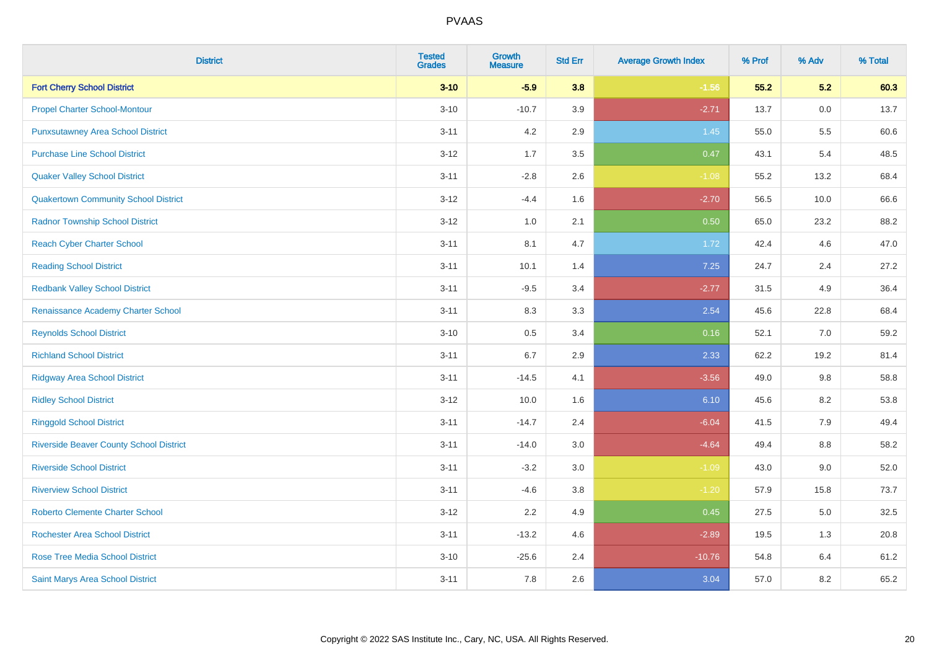| <b>District</b>                                | <b>Tested</b><br><b>Grades</b> | <b>Growth</b><br><b>Measure</b> | <b>Std Err</b> | <b>Average Growth Index</b> | % Prof | % Adv | % Total |
|------------------------------------------------|--------------------------------|---------------------------------|----------------|-----------------------------|--------|-------|---------|
| <b>Fort Cherry School District</b>             | $3 - 10$                       | $-5.9$                          | 3.8            | $-1.56$                     | 55.2   | 5.2   | 60.3    |
| <b>Propel Charter School-Montour</b>           | $3 - 10$                       | $-10.7$                         | 3.9            | $-2.71$                     | 13.7   | 0.0   | 13.7    |
| <b>Punxsutawney Area School District</b>       | $3 - 11$                       | 4.2                             | 2.9            | 1.45                        | 55.0   | 5.5   | 60.6    |
| <b>Purchase Line School District</b>           | $3 - 12$                       | 1.7                             | 3.5            | 0.47                        | 43.1   | 5.4   | 48.5    |
| <b>Quaker Valley School District</b>           | $3 - 11$                       | $-2.8$                          | 2.6            | $-1.08$                     | 55.2   | 13.2  | 68.4    |
| <b>Quakertown Community School District</b>    | $3 - 12$                       | $-4.4$                          | 1.6            | $-2.70$                     | 56.5   | 10.0  | 66.6    |
| <b>Radnor Township School District</b>         | $3 - 12$                       | 1.0                             | 2.1            | 0.50                        | 65.0   | 23.2  | 88.2    |
| <b>Reach Cyber Charter School</b>              | $3 - 11$                       | 8.1                             | 4.7            | 1.72                        | 42.4   | 4.6   | 47.0    |
| <b>Reading School District</b>                 | $3 - 11$                       | 10.1                            | 1.4            | 7.25                        | 24.7   | 2.4   | 27.2    |
| <b>Redbank Valley School District</b>          | $3 - 11$                       | $-9.5$                          | 3.4            | $-2.77$                     | 31.5   | 4.9   | 36.4    |
| Renaissance Academy Charter School             | $3 - 11$                       | 8.3                             | 3.3            | 2.54                        | 45.6   | 22.8  | 68.4    |
| <b>Reynolds School District</b>                | $3 - 10$                       | $0.5\,$                         | 3.4            | 0.16                        | 52.1   | 7.0   | 59.2    |
| <b>Richland School District</b>                | $3 - 11$                       | $6.7\,$                         | 2.9            | 2.33                        | 62.2   | 19.2  | 81.4    |
| <b>Ridgway Area School District</b>            | $3 - 11$                       | $-14.5$                         | 4.1            | $-3.56$                     | 49.0   | 9.8   | 58.8    |
| <b>Ridley School District</b>                  | $3 - 12$                       | 10.0                            | 1.6            | 6.10                        | 45.6   | 8.2   | 53.8    |
| <b>Ringgold School District</b>                | $3 - 11$                       | $-14.7$                         | 2.4            | $-6.04$                     | 41.5   | 7.9   | 49.4    |
| <b>Riverside Beaver County School District</b> | $3 - 11$                       | $-14.0$                         | 3.0            | $-4.64$                     | 49.4   | 8.8   | 58.2    |
| <b>Riverside School District</b>               | $3 - 11$                       | $-3.2$                          | 3.0            | $-1.09$                     | 43.0   | 9.0   | 52.0    |
| <b>Riverview School District</b>               | $3 - 11$                       | $-4.6$                          | 3.8            | $-1.20$                     | 57.9   | 15.8  | 73.7    |
| <b>Roberto Clemente Charter School</b>         | $3 - 12$                       | 2.2                             | 4.9            | 0.45                        | 27.5   | 5.0   | 32.5    |
| <b>Rochester Area School District</b>          | $3 - 11$                       | $-13.2$                         | 4.6            | $-2.89$                     | 19.5   | 1.3   | 20.8    |
| <b>Rose Tree Media School District</b>         | $3 - 10$                       | $-25.6$                         | 2.4            | $-10.76$                    | 54.8   | 6.4   | 61.2    |
| Saint Marys Area School District               | $3 - 11$                       | 7.8                             | 2.6            | 3.04                        | 57.0   | 8.2   | 65.2    |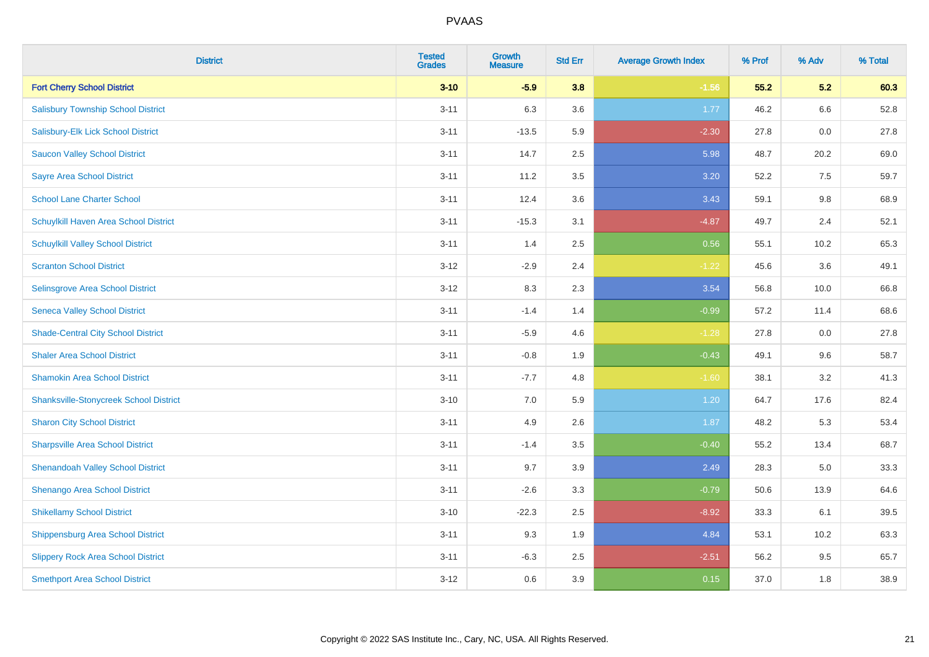| <b>District</b>                               | <b>Tested</b><br><b>Grades</b> | <b>Growth</b><br><b>Measure</b> | <b>Std Err</b> | <b>Average Growth Index</b> | % Prof | % Adv | % Total |
|-----------------------------------------------|--------------------------------|---------------------------------|----------------|-----------------------------|--------|-------|---------|
| <b>Fort Cherry School District</b>            | $3 - 10$                       | $-5.9$                          | 3.8            | $-1.56$                     | 55.2   | 5.2   | 60.3    |
| <b>Salisbury Township School District</b>     | $3 - 11$                       | 6.3                             | 3.6            | 1.77                        | 46.2   | 6.6   | 52.8    |
| Salisbury-Elk Lick School District            | $3 - 11$                       | $-13.5$                         | 5.9            | $-2.30$                     | 27.8   | 0.0   | 27.8    |
| <b>Saucon Valley School District</b>          | $3 - 11$                       | 14.7                            | 2.5            | 5.98                        | 48.7   | 20.2  | 69.0    |
| <b>Sayre Area School District</b>             | $3 - 11$                       | 11.2                            | 3.5            | 3.20                        | 52.2   | 7.5   | 59.7    |
| <b>School Lane Charter School</b>             | $3 - 11$                       | 12.4                            | 3.6            | 3.43                        | 59.1   | 9.8   | 68.9    |
| Schuylkill Haven Area School District         | $3 - 11$                       | $-15.3$                         | 3.1            | $-4.87$                     | 49.7   | 2.4   | 52.1    |
| <b>Schuylkill Valley School District</b>      | $3 - 11$                       | 1.4                             | 2.5            | 0.56                        | 55.1   | 10.2  | 65.3    |
| <b>Scranton School District</b>               | $3-12$                         | $-2.9$                          | 2.4            | $-1.22$                     | 45.6   | 3.6   | 49.1    |
| Selinsgrove Area School District              | $3 - 12$                       | 8.3                             | 2.3            | 3.54                        | 56.8   | 10.0  | 66.8    |
| <b>Seneca Valley School District</b>          | $3 - 11$                       | $-1.4$                          | 1.4            | $-0.99$                     | 57.2   | 11.4  | 68.6    |
| <b>Shade-Central City School District</b>     | $3 - 11$                       | $-5.9$                          | 4.6            | $-1.28$                     | 27.8   | 0.0   | 27.8    |
| <b>Shaler Area School District</b>            | $3 - 11$                       | $-0.8$                          | 1.9            | $-0.43$                     | 49.1   | 9.6   | 58.7    |
| <b>Shamokin Area School District</b>          | $3 - 11$                       | $-7.7$                          | 4.8            | $-1.60$                     | 38.1   | 3.2   | 41.3    |
| <b>Shanksville-Stonycreek School District</b> | $3 - 10$                       | 7.0                             | 5.9            | 1.20                        | 64.7   | 17.6  | 82.4    |
| <b>Sharon City School District</b>            | $3 - 11$                       | 4.9                             | 2.6            | 1.87                        | 48.2   | 5.3   | 53.4    |
| <b>Sharpsville Area School District</b>       | $3 - 11$                       | $-1.4$                          | 3.5            | $-0.40$                     | 55.2   | 13.4  | 68.7    |
| <b>Shenandoah Valley School District</b>      | $3 - 11$                       | 9.7                             | 3.9            | 2.49                        | 28.3   | 5.0   | 33.3    |
| Shenango Area School District                 | $3 - 11$                       | $-2.6$                          | 3.3            | $-0.79$                     | 50.6   | 13.9  | 64.6    |
| <b>Shikellamy School District</b>             | $3 - 10$                       | $-22.3$                         | 2.5            | $-8.92$                     | 33.3   | 6.1   | 39.5    |
| <b>Shippensburg Area School District</b>      | $3 - 11$                       | 9.3                             | 1.9            | 4.84                        | 53.1   | 10.2  | 63.3    |
| <b>Slippery Rock Area School District</b>     | $3 - 11$                       | $-6.3$                          | 2.5            | $-2.51$                     | 56.2   | 9.5   | 65.7    |
| <b>Smethport Area School District</b>         | $3-12$                         | 0.6                             | 3.9            | 0.15                        | 37.0   | 1.8   | 38.9    |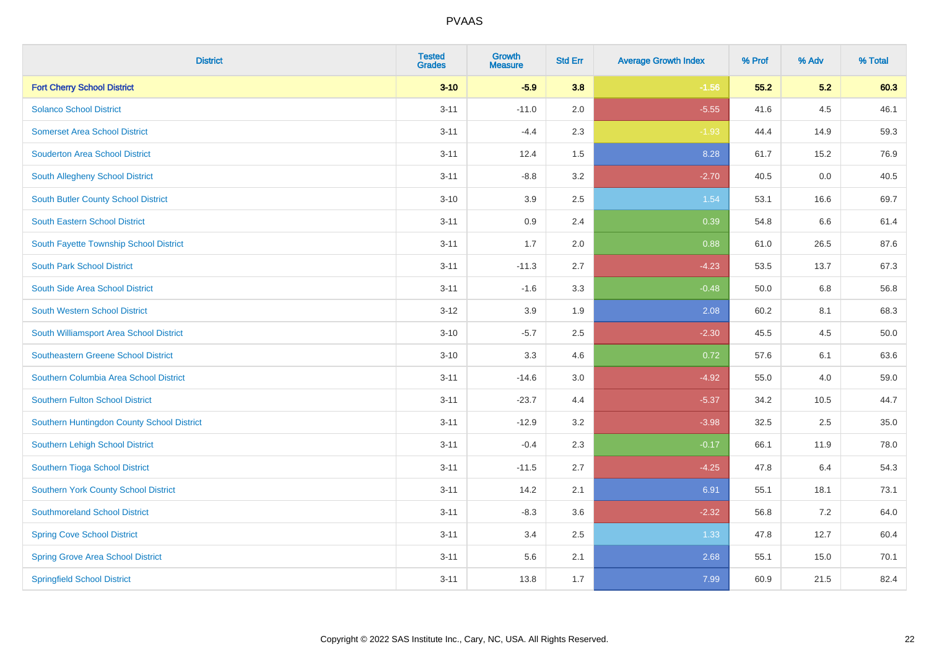| <b>District</b>                            | <b>Tested</b><br><b>Grades</b> | <b>Growth</b><br><b>Measure</b> | <b>Std Err</b> | <b>Average Growth Index</b> | % Prof | % Adv | % Total |
|--------------------------------------------|--------------------------------|---------------------------------|----------------|-----------------------------|--------|-------|---------|
| <b>Fort Cherry School District</b>         | $3 - 10$                       | $-5.9$                          | 3.8            | $-1.56$                     | 55.2   | 5.2   | 60.3    |
| <b>Solanco School District</b>             | $3 - 11$                       | $-11.0$                         | 2.0            | $-5.55$                     | 41.6   | 4.5   | 46.1    |
| <b>Somerset Area School District</b>       | $3 - 11$                       | $-4.4$                          | 2.3            | $-1.93$                     | 44.4   | 14.9  | 59.3    |
| <b>Souderton Area School District</b>      | $3 - 11$                       | 12.4                            | 1.5            | 8.28                        | 61.7   | 15.2  | 76.9    |
| South Allegheny School District            | $3 - 11$                       | $-8.8$                          | 3.2            | $-2.70$                     | 40.5   | 0.0   | 40.5    |
| South Butler County School District        | $3 - 10$                       | 3.9                             | 2.5            | 1.54                        | 53.1   | 16.6  | 69.7    |
| South Eastern School District              | $3 - 11$                       | 0.9                             | 2.4            | 0.39                        | 54.8   | 6.6   | 61.4    |
| South Fayette Township School District     | $3 - 11$                       | 1.7                             | 2.0            | 0.88                        | 61.0   | 26.5  | 87.6    |
| <b>South Park School District</b>          | $3 - 11$                       | $-11.3$                         | 2.7            | $-4.23$                     | 53.5   | 13.7  | 67.3    |
| South Side Area School District            | $3 - 11$                       | $-1.6$                          | 3.3            | $-0.48$                     | 50.0   | 6.8   | 56.8    |
| South Western School District              | $3 - 12$                       | 3.9                             | 1.9            | 2.08                        | 60.2   | 8.1   | 68.3    |
| South Williamsport Area School District    | $3 - 10$                       | $-5.7$                          | 2.5            | $-2.30$                     | 45.5   | 4.5   | 50.0    |
| <b>Southeastern Greene School District</b> | $3 - 10$                       | 3.3                             | 4.6            | 0.72                        | 57.6   | 6.1   | 63.6    |
| Southern Columbia Area School District     | $3 - 11$                       | $-14.6$                         | $3.0\,$        | $-4.92$                     | 55.0   | 4.0   | 59.0    |
| <b>Southern Fulton School District</b>     | $3 - 11$                       | $-23.7$                         | 4.4            | $-5.37$                     | 34.2   | 10.5  | 44.7    |
| Southern Huntingdon County School District | $3 - 11$                       | $-12.9$                         | 3.2            | $-3.98$                     | 32.5   | 2.5   | 35.0    |
| Southern Lehigh School District            | $3 - 11$                       | $-0.4$                          | 2.3            | $-0.17$                     | 66.1   | 11.9  | 78.0    |
| Southern Tioga School District             | $3 - 11$                       | $-11.5$                         | 2.7            | $-4.25$                     | 47.8   | 6.4   | 54.3    |
| Southern York County School District       | $3 - 11$                       | 14.2                            | 2.1            | 6.91                        | 55.1   | 18.1  | 73.1    |
| <b>Southmoreland School District</b>       | $3 - 11$                       | $-8.3$                          | 3.6            | $-2.32$                     | 56.8   | 7.2   | 64.0    |
| <b>Spring Cove School District</b>         | $3 - 11$                       | 3.4                             | 2.5            | 1.33                        | 47.8   | 12.7  | 60.4    |
| <b>Spring Grove Area School District</b>   | $3 - 11$                       | 5.6                             | 2.1            | 2.68                        | 55.1   | 15.0  | 70.1    |
| <b>Springfield School District</b>         | $3 - 11$                       | 13.8                            | 1.7            | 7.99                        | 60.9   | 21.5  | 82.4    |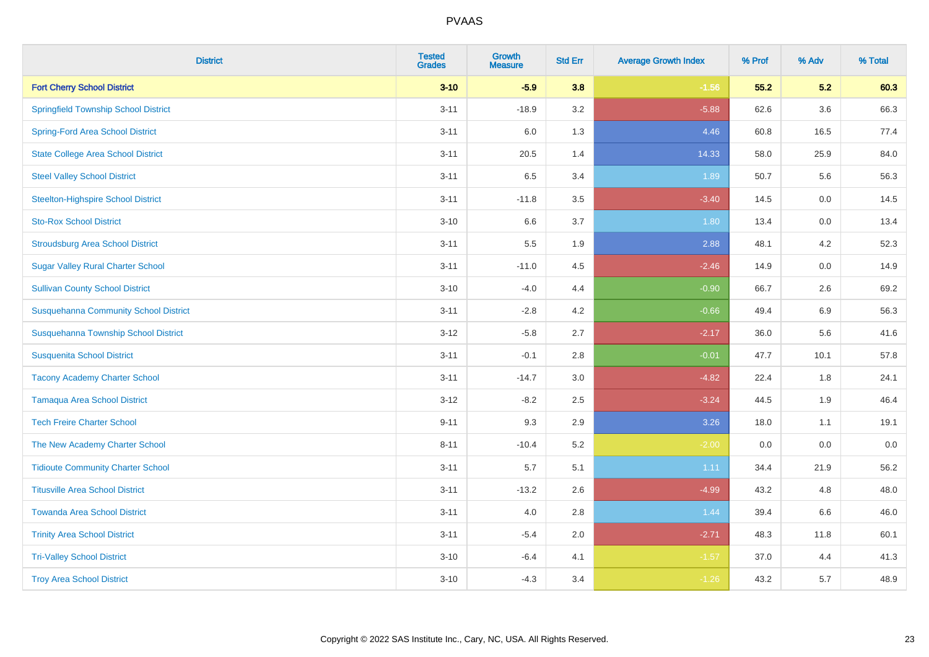| <b>District</b>                              | <b>Tested</b><br><b>Grades</b> | <b>Growth</b><br><b>Measure</b> | <b>Std Err</b> | <b>Average Growth Index</b> | % Prof | % Adv   | % Total |
|----------------------------------------------|--------------------------------|---------------------------------|----------------|-----------------------------|--------|---------|---------|
| <b>Fort Cherry School District</b>           | $3 - 10$                       | $-5.9$                          | 3.8            | $-1.56$                     | 55.2   | 5.2     | 60.3    |
| <b>Springfield Township School District</b>  | $3 - 11$                       | $-18.9$                         | 3.2            | $-5.88$                     | 62.6   | $3.6\,$ | 66.3    |
| <b>Spring-Ford Area School District</b>      | $3 - 11$                       | 6.0                             | 1.3            | 4.46                        | 60.8   | 16.5    | 77.4    |
| <b>State College Area School District</b>    | $3 - 11$                       | 20.5                            | 1.4            | 14.33                       | 58.0   | 25.9    | 84.0    |
| <b>Steel Valley School District</b>          | $3 - 11$                       | 6.5                             | 3.4            | 1.89                        | 50.7   | 5.6     | 56.3    |
| <b>Steelton-Highspire School District</b>    | $3 - 11$                       | $-11.8$                         | 3.5            | $-3.40$                     | 14.5   | 0.0     | 14.5    |
| <b>Sto-Rox School District</b>               | $3 - 10$                       | 6.6                             | 3.7            | 1.80                        | 13.4   | 0.0     | 13.4    |
| <b>Stroudsburg Area School District</b>      | $3 - 11$                       | $5.5\,$                         | 1.9            | 2.88                        | 48.1   | 4.2     | 52.3    |
| <b>Sugar Valley Rural Charter School</b>     | $3 - 11$                       | $-11.0$                         | 4.5            | $-2.46$                     | 14.9   | 0.0     | 14.9    |
| <b>Sullivan County School District</b>       | $3 - 10$                       | $-4.0$                          | 4.4            | $-0.90$                     | 66.7   | 2.6     | 69.2    |
| <b>Susquehanna Community School District</b> | $3 - 11$                       | $-2.8$                          | 4.2            | $-0.66$                     | 49.4   | 6.9     | 56.3    |
| Susquehanna Township School District         | $3 - 12$                       | $-5.8$                          | 2.7            | $-2.17$                     | 36.0   | 5.6     | 41.6    |
| <b>Susquenita School District</b>            | $3 - 11$                       | $-0.1$                          | 2.8            | $-0.01$                     | 47.7   | 10.1    | 57.8    |
| <b>Tacony Academy Charter School</b>         | $3 - 11$                       | $-14.7$                         | 3.0            | $-4.82$                     | 22.4   | 1.8     | 24.1    |
| <b>Tamaqua Area School District</b>          | $3 - 12$                       | $-8.2$                          | 2.5            | $-3.24$                     | 44.5   | 1.9     | 46.4    |
| <b>Tech Freire Charter School</b>            | $9 - 11$                       | 9.3                             | 2.9            | 3.26                        | 18.0   | 1.1     | 19.1    |
| The New Academy Charter School               | $8 - 11$                       | $-10.4$                         | 5.2            | $-2.00$                     | 0.0    | 0.0     | 0.0     |
| <b>Tidioute Community Charter School</b>     | $3 - 11$                       | 5.7                             | 5.1            | 1.11                        | 34.4   | 21.9    | 56.2    |
| <b>Titusville Area School District</b>       | $3 - 11$                       | $-13.2$                         | 2.6            | $-4.99$                     | 43.2   | 4.8     | 48.0    |
| <b>Towanda Area School District</b>          | $3 - 11$                       | 4.0                             | 2.8            | 1.44                        | 39.4   | 6.6     | 46.0    |
| <b>Trinity Area School District</b>          | $3 - 11$                       | $-5.4$                          | 2.0            | $-2.71$                     | 48.3   | 11.8    | 60.1    |
| <b>Tri-Valley School District</b>            | $3 - 10$                       | $-6.4$                          | 4.1            | $-1.57$                     | 37.0   | 4.4     | 41.3    |
| <b>Troy Area School District</b>             | $3 - 10$                       | $-4.3$                          | 3.4            | $-1.26$                     | 43.2   | 5.7     | 48.9    |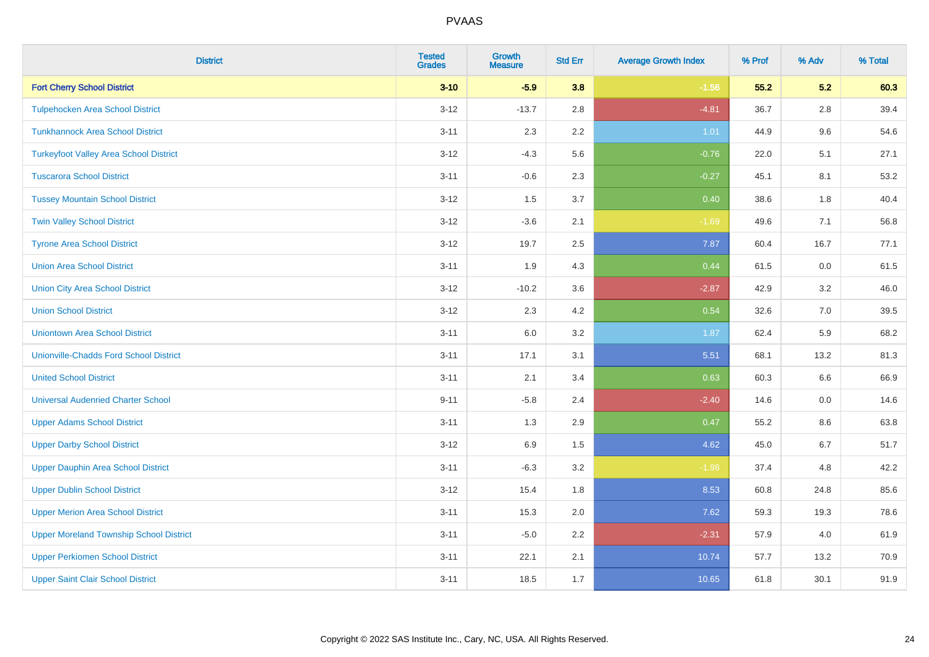| <b>District</b>                                | <b>Tested</b><br><b>Grades</b> | <b>Growth</b><br><b>Measure</b> | <b>Std Err</b> | <b>Average Growth Index</b> | % Prof | % Adv   | % Total |
|------------------------------------------------|--------------------------------|---------------------------------|----------------|-----------------------------|--------|---------|---------|
| <b>Fort Cherry School District</b>             | $3 - 10$                       | $-5.9$                          | 3.8            | $-1.56$                     | 55.2   | 5.2     | 60.3    |
| <b>Tulpehocken Area School District</b>        | $3 - 12$                       | $-13.7$                         | 2.8            | $-4.81$                     | 36.7   | $2.8\,$ | 39.4    |
| <b>Tunkhannock Area School District</b>        | $3 - 11$                       | 2.3                             | 2.2            | 1.01                        | 44.9   | 9.6     | 54.6    |
| <b>Turkeyfoot Valley Area School District</b>  | $3 - 12$                       | $-4.3$                          | 5.6            | $-0.76$                     | 22.0   | 5.1     | 27.1    |
| <b>Tuscarora School District</b>               | $3 - 11$                       | $-0.6$                          | 2.3            | $-0.27$                     | 45.1   | 8.1     | 53.2    |
| <b>Tussey Mountain School District</b>         | $3 - 12$                       | 1.5                             | 3.7            | 0.40                        | 38.6   | 1.8     | 40.4    |
| <b>Twin Valley School District</b>             | $3 - 12$                       | $-3.6$                          | 2.1            | $-1.69$                     | 49.6   | 7.1     | 56.8    |
| <b>Tyrone Area School District</b>             | $3 - 12$                       | 19.7                            | 2.5            | 7.87                        | 60.4   | 16.7    | 77.1    |
| <b>Union Area School District</b>              | $3 - 11$                       | 1.9                             | 4.3            | 0.44                        | 61.5   | 0.0     | 61.5    |
| <b>Union City Area School District</b>         | $3 - 12$                       | $-10.2$                         | 3.6            | $-2.87$                     | 42.9   | 3.2     | 46.0    |
| <b>Union School District</b>                   | $3 - 12$                       | 2.3                             | 4.2            | 0.54                        | 32.6   | 7.0     | 39.5    |
| <b>Uniontown Area School District</b>          | $3 - 11$                       | 6.0                             | 3.2            | 1.87                        | 62.4   | 5.9     | 68.2    |
| <b>Unionville-Chadds Ford School District</b>  | $3 - 11$                       | 17.1                            | 3.1            | 5.51                        | 68.1   | 13.2    | 81.3    |
| <b>United School District</b>                  | $3 - 11$                       | 2.1                             | 3.4            | 0.63                        | 60.3   | 6.6     | 66.9    |
| <b>Universal Audenried Charter School</b>      | $9 - 11$                       | $-5.8$                          | 2.4            | $-2.40$                     | 14.6   | 0.0     | 14.6    |
| <b>Upper Adams School District</b>             | $3 - 11$                       | 1.3                             | 2.9            | 0.47                        | 55.2   | $8.6\,$ | 63.8    |
| <b>Upper Darby School District</b>             | $3 - 12$                       | 6.9                             | 1.5            | 4.62                        | 45.0   | 6.7     | 51.7    |
| <b>Upper Dauphin Area School District</b>      | $3 - 11$                       | $-6.3$                          | 3.2            | $-1.98$                     | 37.4   | 4.8     | 42.2    |
| <b>Upper Dublin School District</b>            | $3 - 12$                       | 15.4                            | 1.8            | 8.53                        | 60.8   | 24.8    | 85.6    |
| <b>Upper Merion Area School District</b>       | $3 - 11$                       | 15.3                            | 2.0            | 7.62                        | 59.3   | 19.3    | 78.6    |
| <b>Upper Moreland Township School District</b> | $3 - 11$                       | $-5.0$                          | 2.2            | $-2.31$                     | 57.9   | 4.0     | 61.9    |
| <b>Upper Perkiomen School District</b>         | $3 - 11$                       | 22.1                            | 2.1            | 10.74                       | 57.7   | 13.2    | 70.9    |
| <b>Upper Saint Clair School District</b>       | $3 - 11$                       | 18.5                            | 1.7            | 10.65                       | 61.8   | 30.1    | 91.9    |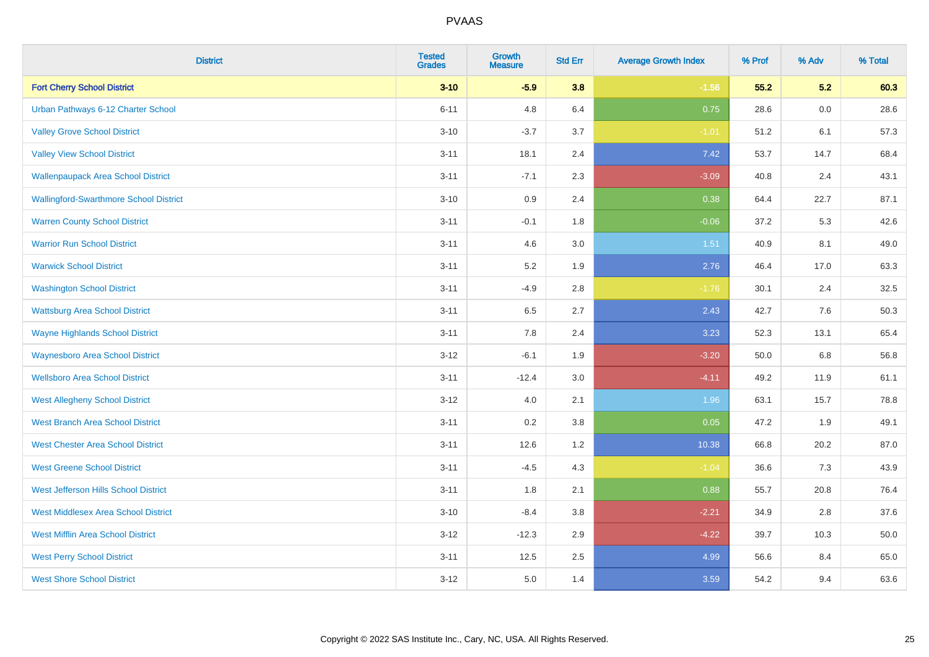| <b>District</b>                               | <b>Tested</b><br><b>Grades</b> | <b>Growth</b><br><b>Measure</b> | <b>Std Err</b> | <b>Average Growth Index</b> | % Prof | % Adv | % Total |
|-----------------------------------------------|--------------------------------|---------------------------------|----------------|-----------------------------|--------|-------|---------|
| <b>Fort Cherry School District</b>            | $3 - 10$                       | $-5.9$                          | 3.8            | $-1.56$                     | 55.2   | 5.2   | 60.3    |
| Urban Pathways 6-12 Charter School            | $6 - 11$                       | 4.8                             | 6.4            | 0.75                        | 28.6   | 0.0   | 28.6    |
| <b>Valley Grove School District</b>           | $3 - 10$                       | $-3.7$                          | 3.7            | $-1.01$                     | 51.2   | 6.1   | 57.3    |
| <b>Valley View School District</b>            | $3 - 11$                       | 18.1                            | 2.4            | 7.42                        | 53.7   | 14.7  | 68.4    |
| <b>Wallenpaupack Area School District</b>     | $3 - 11$                       | $-7.1$                          | 2.3            | $-3.09$                     | 40.8   | 2.4   | 43.1    |
| <b>Wallingford-Swarthmore School District</b> | $3 - 10$                       | $0.9\,$                         | 2.4            | 0.38                        | 64.4   | 22.7  | 87.1    |
| <b>Warren County School District</b>          | $3 - 11$                       | $-0.1$                          | 1.8            | $-0.06$                     | 37.2   | 5.3   | 42.6    |
| <b>Warrior Run School District</b>            | $3 - 11$                       | 4.6                             | 3.0            | 1.51                        | 40.9   | 8.1   | 49.0    |
| <b>Warwick School District</b>                | $3 - 11$                       | 5.2                             | 1.9            | 2.76                        | 46.4   | 17.0  | 63.3    |
| <b>Washington School District</b>             | $3 - 11$                       | $-4.9$                          | 2.8            | $-1.76$                     | 30.1   | 2.4   | 32.5    |
| <b>Wattsburg Area School District</b>         | $3 - 11$                       | 6.5                             | 2.7            | 2.43                        | 42.7   | 7.6   | 50.3    |
| <b>Wayne Highlands School District</b>        | $3 - 11$                       | 7.8                             | 2.4            | 3.23                        | 52.3   | 13.1  | 65.4    |
| <b>Waynesboro Area School District</b>        | $3 - 12$                       | $-6.1$                          | 1.9            | $-3.20$                     | 50.0   | 6.8   | 56.8    |
| <b>Wellsboro Area School District</b>         | $3 - 11$                       | $-12.4$                         | 3.0            | $-4.11$                     | 49.2   | 11.9  | 61.1    |
| <b>West Allegheny School District</b>         | $3 - 12$                       | 4.0                             | 2.1            | 1.96                        | 63.1   | 15.7  | 78.8    |
| <b>West Branch Area School District</b>       | $3 - 11$                       | 0.2                             | 3.8            | 0.05                        | 47.2   | 1.9   | 49.1    |
| <b>West Chester Area School District</b>      | $3 - 11$                       | 12.6                            | 1.2            | 10.38                       | 66.8   | 20.2  | 87.0    |
| <b>West Greene School District</b>            | $3 - 11$                       | $-4.5$                          | 4.3            | $-1.04$                     | 36.6   | 7.3   | 43.9    |
| West Jefferson Hills School District          | $3 - 11$                       | 1.8                             | 2.1            | 0.88                        | 55.7   | 20.8  | 76.4    |
| <b>West Middlesex Area School District</b>    | $3 - 10$                       | $-8.4$                          | 3.8            | $-2.21$                     | 34.9   | 2.8   | 37.6    |
| <b>West Mifflin Area School District</b>      | $3 - 12$                       | $-12.3$                         | 2.9            | $-4.22$                     | 39.7   | 10.3  | 50.0    |
| <b>West Perry School District</b>             | $3 - 11$                       | 12.5                            | 2.5            | 4.99                        | 56.6   | 8.4   | 65.0    |
| <b>West Shore School District</b>             | $3-12$                         | 5.0                             | 1.4            | 3.59                        | 54.2   | 9.4   | 63.6    |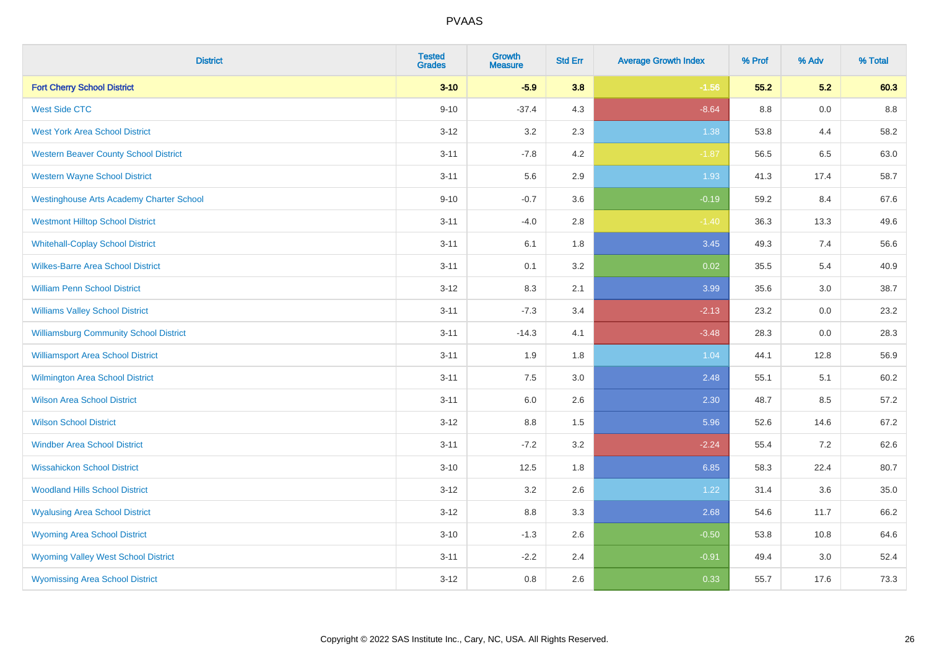| <b>District</b>                                 | <b>Tested</b><br><b>Grades</b> | <b>Growth</b><br><b>Measure</b> | <b>Std Err</b> | <b>Average Growth Index</b> | % Prof | % Adv | % Total |
|-------------------------------------------------|--------------------------------|---------------------------------|----------------|-----------------------------|--------|-------|---------|
| <b>Fort Cherry School District</b>              | $3 - 10$                       | $-5.9$                          | 3.8            | $-1.56$                     | 55.2   | 5.2   | 60.3    |
| <b>West Side CTC</b>                            | $9 - 10$                       | $-37.4$                         | 4.3            | $-8.64$                     | 8.8    | 0.0   | 8.8     |
| <b>West York Area School District</b>           | $3 - 12$                       | 3.2                             | 2.3            | 1.38                        | 53.8   | 4.4   | 58.2    |
| <b>Western Beaver County School District</b>    | $3 - 11$                       | $-7.8$                          | 4.2            | $-1.87$                     | 56.5   | 6.5   | 63.0    |
| <b>Western Wayne School District</b>            | $3 - 11$                       | 5.6                             | 2.9            | 1.93                        | 41.3   | 17.4  | 58.7    |
| <b>Westinghouse Arts Academy Charter School</b> | $9 - 10$                       | $-0.7$                          | 3.6            | $-0.19$                     | 59.2   | 8.4   | 67.6    |
| <b>Westmont Hilltop School District</b>         | $3 - 11$                       | $-4.0$                          | 2.8            | $-1.40$                     | 36.3   | 13.3  | 49.6    |
| <b>Whitehall-Coplay School District</b>         | $3 - 11$                       | 6.1                             | 1.8            | 3.45                        | 49.3   | 7.4   | 56.6    |
| <b>Wilkes-Barre Area School District</b>        | $3 - 11$                       | 0.1                             | 3.2            | 0.02                        | 35.5   | 5.4   | 40.9    |
| <b>William Penn School District</b>             | $3 - 12$                       | 8.3                             | 2.1            | 3.99                        | 35.6   | 3.0   | 38.7    |
| <b>Williams Valley School District</b>          | $3 - 11$                       | $-7.3$                          | 3.4            | $-2.13$                     | 23.2   | 0.0   | 23.2    |
| <b>Williamsburg Community School District</b>   | $3 - 11$                       | $-14.3$                         | 4.1            | $-3.48$                     | 28.3   | 0.0   | 28.3    |
| <b>Williamsport Area School District</b>        | $3 - 11$                       | 1.9                             | 1.8            | 1.04                        | 44.1   | 12.8  | 56.9    |
| <b>Wilmington Area School District</b>          | $3 - 11$                       | 7.5                             | 3.0            | 2.48                        | 55.1   | 5.1   | 60.2    |
| <b>Wilson Area School District</b>              | $3 - 11$                       | 6.0                             | 2.6            | 2.30                        | 48.7   | 8.5   | 57.2    |
| <b>Wilson School District</b>                   | $3 - 12$                       | $8.8\,$                         | 1.5            | 5.96                        | 52.6   | 14.6  | 67.2    |
| <b>Windber Area School District</b>             | $3 - 11$                       | $-7.2$                          | 3.2            | $-2.24$                     | 55.4   | 7.2   | 62.6    |
| <b>Wissahickon School District</b>              | $3 - 10$                       | 12.5                            | 1.8            | 6.85                        | 58.3   | 22.4  | 80.7    |
| <b>Woodland Hills School District</b>           | $3 - 12$                       | 3.2                             | 2.6            | 1.22                        | 31.4   | 3.6   | 35.0    |
| <b>Wyalusing Area School District</b>           | $3 - 12$                       | 8.8                             | 3.3            | 2.68                        | 54.6   | 11.7  | 66.2    |
| <b>Wyoming Area School District</b>             | $3 - 10$                       | $-1.3$                          | 2.6            | $-0.50$                     | 53.8   | 10.8  | 64.6    |
| <b>Wyoming Valley West School District</b>      | $3 - 11$                       | $-2.2$                          | 2.4            | $-0.91$                     | 49.4   | 3.0   | 52.4    |
| <b>Wyomissing Area School District</b>          | $3 - 12$                       | 0.8                             | 2.6            | 0.33                        | 55.7   | 17.6  | 73.3    |